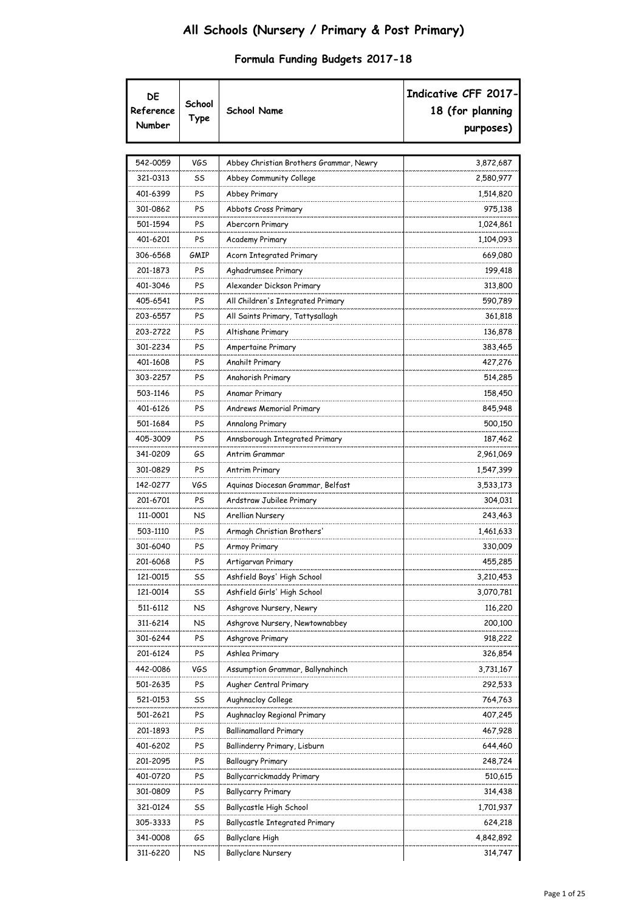| DE<br>Reference<br>Number | School<br>Type | <b>School Name</b>                      | Indicative CFF 2017-<br>18 (for planning<br>purposes) |
|---------------------------|----------------|-----------------------------------------|-------------------------------------------------------|
| 542-0059                  | <b>VGS</b>     | Abbey Christian Brothers Grammar, Newry | 3,872,687                                             |
| 321-0313                  | SS             | Abbey Community College                 | 2,580,977                                             |
| 401-6399                  | PS             | Abbey Primary                           | 1,514,820                                             |
| 301-0862                  | PS             | Abbots Cross Primary                    | 975,138                                               |
| 501-1594                  | PS             | Abercorn Primary                        | 1,024,861                                             |
| 401-6201                  | PS             | <b>Academy Primary</b>                  | 1,104,093                                             |
| 306-6568                  | GMIP           | Acorn Integrated Primary                | 669,080                                               |
| 201-1873                  | PS             | Aghadrumsee Primary                     | 199,418                                               |
| 401-3046                  | PS             | Alexander Dickson Primary               | 313,800                                               |
| 405-6541                  | PS             | All Children's Integrated Primary       | 590,789                                               |
| 203-6557                  | PS             | All Saints Primary, Tattysallagh        | 361,818                                               |
| 203-2722                  | PS             | Altishane Primary                       | 136,878                                               |
| 301-2234                  | PS             | Ampertaine Primary                      | 383,465                                               |
| 401-1608                  | PS             | Anahilt Primary                         | 427,276                                               |
| 303-2257                  | PS             | Anahorish Primary                       | 514,285                                               |
| 503-1146                  | PS             | Anamar Primary                          | 158,450                                               |
| 401-6126                  | PS             | Andrews Memorial Primary                | 845,948                                               |
| 501-1684                  | PS             | Annalong Primary                        | 500,150                                               |
| 405-3009                  | PS             | Annsborough Integrated Primary          | 187,462                                               |
| 341-0209                  | GS             | Antrim Grammar                          | 2,961,069                                             |
| 301-0829                  | PS             | Antrim Primary                          | 1,547,399                                             |
| 142-0277                  | VGS            | Aguinas Diocesan Grammar, Belfast       | 3,533,173                                             |
| 201-6701                  | PS             | Ardstraw Jubilee Primary                | 304,031                                               |
| 111-0001                  | NS             | Arellian Nursery                        | 243,463                                               |
| 503-1110                  | PS             | Armagh Christian Brothers'              | 1,461,633                                             |
| 301-6040                  | PS             | Armoy Primary                           | 330,009                                               |
| 201-6068                  | PS             | Artigarvan Primary                      | 455,285                                               |
| 121-0015                  | SS             | Ashfield Boys' High School              | 3,210,453                                             |
| 121-0014                  | SS             | Ashfield Girls' High School             | 3,070,781                                             |
| 511-6112                  | NS             | Ashgrove Nursery, Newry                 | 116,220                                               |
| 311-6214                  | NS             | Ashgrove Nursery, Newtownabbey          | 200,100                                               |
| 301-6244                  | PS             | Ashgrove Primary                        | 918,222                                               |
| 201-6124                  | PS             | Ashlea Primary                          | 326,854                                               |
| 442-0086                  | VGS            | Assumption Grammar, Ballynahinch        | 3,731,167                                             |
| 501-2635                  | PS             | Augher Central Primary                  | 292,533                                               |
| 521-0153                  | SS             | Aughnacloy College                      | 764,763                                               |
| 501-2621                  | PS             | Aughnacloy Regional Primary             | 407,245                                               |
| 201-1893                  | PS             | Ballinamallard Primary                  | 467,928                                               |
| 401-6202                  | PS             | Ballinderry Primary, Lisburn            | 644,460                                               |
| 201-2095                  | PS             | <b>Ballougry Primary</b>                | 248,724                                               |
| 401-0720                  | PS             | Ballycarrickmaddy Primary               | 510,615                                               |
| 301-0809                  | PS             | Ballycarry Primary                      | 314,438                                               |
| 321-0124                  | SS             | Ballycastle High School                 | 1,701,937                                             |
| 305-3333                  | PS             | Ballycastle Integrated Primary          | 624,218                                               |
| 341-0008                  | GS             | Ballyclare High                         | 4,842,892                                             |
| 311-6220                  | NS             | <b>Ballyclare Nursery</b>               | 314,747                                               |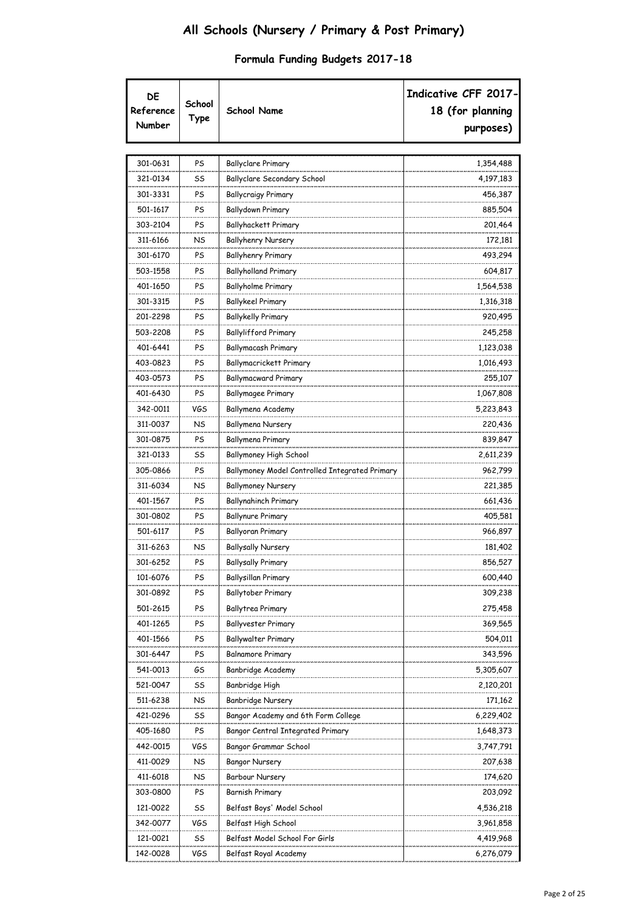| DE<br>Reference<br>Number | School<br>Type | <b>School Name</b>                             | Indicative CFF 2017-<br>18 (for planning<br>purposes) |
|---------------------------|----------------|------------------------------------------------|-------------------------------------------------------|
| 301-0631                  | PS             | <b>Ballyclare Primary</b>                      | 1,354,488                                             |
| 321-0134                  | SS             | Ballyclare Secondary School                    | 4,197,183                                             |
| 301-3331                  | PS             | <b>Ballycraigy Primary</b>                     | 456,387                                               |
| 501-1617                  | PS             | <b>Ballydown Primary</b>                       | 885,504                                               |
| 303-2104                  | PS             | Ballyhackett Primary                           | 201,464                                               |
| 311-6166                  | NS             | <b>Ballyhenry Nursery</b>                      | 172,181                                               |
| 301-6170                  | PS             | Ballyhenry Primary                             | 493,294                                               |
| 503-1558                  | PS             | <b>Ballyholland Primary</b>                    | 604,817                                               |
| 401-1650                  | PS             | Ballyholme Primary                             | 1,564,538                                             |
| 301-3315                  | PS             | <b>Ballykeel Primary</b>                       | 1,316,318                                             |
| 201-2298                  | PS             | <b>Ballykelly Primary</b>                      | 920,495                                               |
| 503-2208                  | PS             | Ballylifford Primary                           | 245,258                                               |
| 401-6441                  | PS             | Ballymacash Primary                            | 1,123,038                                             |
| 403-0823                  | PS             | Ballymacrickett Primary                        | 1,016,493                                             |
| 403-0573                  | PS             | Ballymacward Primary                           | 255,107                                               |
| 401-6430                  | PS             | Ballymagee Primary                             | 1,067,808                                             |
| 342-0011                  | VGS            | Ballymena Academy                              | 5,223,843                                             |
| 311-0037                  | NS             | Ballymena Nursery                              | 220,436                                               |
| 301-0875                  | PS             | Ballymena Primary                              | 839,847                                               |
| 321-0133                  | SS             | <b>Ballymoney High School</b>                  | 2,611,239                                             |
| 305-0866                  | PS             | Ballymoney Model Controlled Integrated Primary | 962,799                                               |
| 311-6034                  | NS             | <b>Ballymoney Nursery</b>                      | 221,385                                               |
| 401-1567                  | PS             | Ballynahinch Primary                           | 661,436                                               |
| 301-0802                  | PS             | <b>Ballynure Primary</b>                       | 405,581                                               |
| 501-6117                  | PS             | Ballyoran Primary                              | 966,897                                               |
| 311-6263                  | NS             | <b>Ballysally Nursery</b>                      | 181,402                                               |
| 301-6252                  | PS             | Ballysally Primary                             | 856,527                                               |
| 101-6076                  | PS             | Ballysillan Primary                            | 600,440                                               |
| 301-0892                  | PS             | Ballytober Primary                             | 309,238                                               |
| 501-2615                  | PS             | Ballytrea Primary                              | 275,458                                               |
| 401-1265                  | PS             | Ballyvester Primary                            | 369,565                                               |
| 401-1566                  | PS             | Ballywalter Primary                            | 504,011                                               |
| 301-6447                  | PS             | <b>Balnamore Primary</b>                       | 343,596                                               |
| 541-0013                  | GS             | Banbridge Academy                              | 5,305,607                                             |
| 521-0047                  | SS             | Banbridge High                                 | 2,120,201                                             |
| 511-6238                  | NS             | Banbridge Nursery                              | 171,162                                               |
| 421-0296                  | SS             | Bangor Academy and 6th Form College            | 6,229,402                                             |
| 405-1680                  | PS             | Bangor Central Integrated Primary              | 1,648,373                                             |
| 442-0015                  | VGS            | Bangor Grammar School                          | 3,747,791                                             |
| 411-0029                  | NS             | Bangor Nursery                                 | 207,638                                               |
| 411-6018                  | NS             | Barbour Nursery                                | 174,620                                               |
| 303-0800                  | PS             | Barnish Primary                                | 203,092                                               |
| 121-0022                  | SS             | Belfast Boys' Model School                     | 4,536,218                                             |
| 342-0077                  | VGS            | Belfast High School                            | 3,961,858                                             |
| 121-0021                  | SS             | Belfast Model School For Girls                 | 4,419,968                                             |
| 142-0028                  | VGS            | Belfast Royal Academy                          | 6,276,079                                             |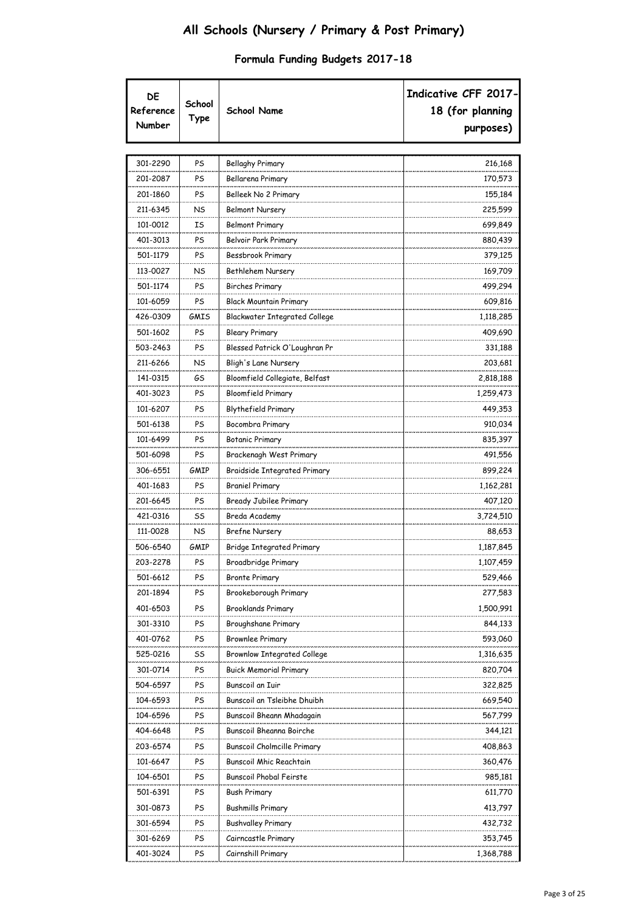| DE<br>Reference<br>Number | School<br>Type | <b>School Name</b>                  | Indicative CFF 2017-<br>18 (for planning<br>purposes) |
|---------------------------|----------------|-------------------------------------|-------------------------------------------------------|
|                           |                |                                     |                                                       |
| 301-2290                  | PS             | Bellaghy Primary                    | 216,168                                               |
| 201-2087                  | PS             | Bellarena Primary                   | 170,573                                               |
| 201-1860                  | PS             | Belleek No 2 Primary                | 155,184                                               |
| 211-6345                  | NS             | <b>Belmont Nursery</b>              | 225,599                                               |
| 101-0012                  | ΙS             | <b>Belmont Primary</b>              | 699,849                                               |
| 401-3013                  | PS             | Belvoir Park Primary                | 880,439                                               |
| 501-1179                  | PS             | Bessbrook Primary                   | 379,125                                               |
| 113-0027                  | NS             | Bethlehem Nursery                   | 169,709                                               |
| 501-1174                  | PS             | Birches Primary                     | 499,294                                               |
| 101-6059                  | PS             | Black Mountain Primary              | 609,816                                               |
| 426-0309                  | GMIS           | Blackwater Integrated College       | 1,118,285                                             |
| 501-1602                  | PS             | Bleary Primary                      | 409,690                                               |
| 503-2463                  | PS             | Blessed Patrick O'Loughran Pr       | 331,188                                               |
| 211-6266                  | NS             | Bligh's Lane Nursery                | 203,681                                               |
| 141-0315                  | GS             | Bloomfield Collegiate, Belfast      | 2,818,188                                             |
| 401-3023                  | PS             | <b>Bloomfield Primary</b>           | 1,259,473                                             |
| 101-6207                  | PS             | Blythefield Primary                 | 449,353                                               |
| 501-6138                  | PS             | Bocombra Primary                    | 910,034                                               |
| 101-6499                  | PS             | Botanic Primary                     | 835,397                                               |
| 501-6098                  | PS             | Brackenagh West Primary             | 491,556                                               |
| 306-6551                  | GMIP           | <b>Braidside Integrated Primary</b> | 899,224                                               |
| 401-1683                  | PS             | <b>Braniel Primary</b>              | 1,162,281                                             |
| 201-6645                  | PS             | Bready Jubilee Primary              | 407,120                                               |
| 421-0316                  | SS             | Breda Academy                       | 3,724,510                                             |
| 111-0028                  | NS             | <b>Brefne Nursery</b>               | 88,653                                                |
| 506-6540                  | GMIP           | <b>Bridge Integrated Primary</b>    | 1,187,845                                             |
| 203-2278                  | PS             | Broadbridge Primary                 | 1,107,459                                             |
| 501-6612                  | PS             | <b>Bronte Primary</b>               | 529,466                                               |
| 201-1894                  | PS             | Brookeborough Primary               | 277,583                                               |
| 401-6503                  | PS             | <b>Brooklands Primary</b>           | 1,500,991                                             |
| 301-3310                  | PS             | Broughshane Primary                 | 844,133                                               |
| 401-0762                  | PS             | <b>Brownlee Primary</b>             | 593,060                                               |
| 525-0216                  | SS             | <b>Brownlow Integrated College</b>  | 1,316,635                                             |
| 301-0714                  | PS             | <b>Buick Memorial Primary</b>       | 820,704                                               |
| 504-6597                  | PS             | Bunscoil an Iuir                    | 322,825                                               |
| 104-6593                  | PS             | Bunscoil an Tsleibhe Dhuibh         | 669,540                                               |
| 104-6596                  | PS             | Bunscoil Bheann Mhadagain           | 567,799                                               |
| 404-6648                  | PS             | Bunscoil Bheanna Boirche            | 344,121                                               |
| 203-6574                  | PS             | <b>Bunscoil Cholmcille Primary</b>  | 408,863                                               |
| 101-6647                  | PS             | Bunscoil Mhic Reachtain             | 360,476                                               |
| 104-6501                  | PS             | <b>Bunscoil Phobal Feirste</b>      | 985,181                                               |
| 501-6391                  | PS             | <b>Bush Primary</b>                 | 611,770                                               |
| 301-0873                  | PS             | <b>Bushmills Primary</b>            | 413,797                                               |
| 301-6594                  | PS             | <b>Bushvalley Primary</b>           | 432,732                                               |
| 301-6269                  | PS             | Cairncastle Primary                 | 353,745                                               |
| 401-3024                  | PS             | Cairnshill Primary                  | 1,368,788                                             |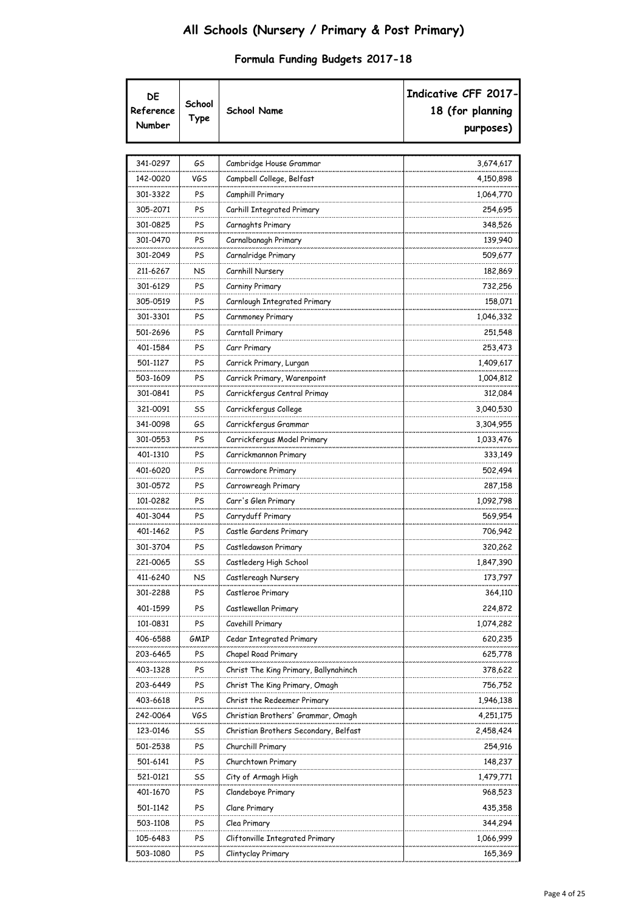| DE<br>Reference<br>Number | School<br>Type | <b>School Name</b>                    | Indicative CFF 2017-<br>18 (for planning<br>purposes) |
|---------------------------|----------------|---------------------------------------|-------------------------------------------------------|
|                           |                |                                       |                                                       |
| 341-0297                  | GS             | Cambridge House Grammar               | 3,674,617                                             |
| 142-0020                  | VGS            | Campbell College, Belfast             | 4,150,898                                             |
| 301-3322                  | PS             | Camphill Primary                      | 1,064,770                                             |
| 305-2071                  | PS             | Carhill Integrated Primary            | 254,695                                               |
| 301-0825                  | PS             | Carnaghts Primary                     | 348,526                                               |
| 301-0470                  | PS             | Carnalbanagh Primary                  | 139,940                                               |
| 301-2049                  | PS             | Carnalridge Primary                   | 509,677                                               |
| 211-6267                  | NS             | Carnhill Nursery                      | 182,869                                               |
| 301-6129                  | PS             | Carniny Primary                       | 732,256                                               |
| 305-0519                  | PS             | Carnlough Integrated Primary          | 158,071                                               |
| 301-3301                  | PS             | Carnmoney Primary                     | 1,046,332                                             |
| 501-2696                  | PS             | Carntall Primary                      | 251,548                                               |
| 401-1584                  | PS             | Carr Primary                          | 253,473                                               |
| 501-1127                  | PS             | Carrick Primary, Lurgan               | 1,409,617                                             |
| 503-1609                  | PS             | Carrick Primary, Warenpoint           | 1,004,812                                             |
| 301-0841                  | PS             | Carrickfergus Central Primay          | 312,084                                               |
| 321-0091                  | SS             | Carrickfergus College                 | 3,040,530                                             |
| 341-0098                  | GS             | Carrickfergus Grammar                 | 3,304,955                                             |
| 301-0553                  | PS             | Carrickfergus Model Primary           | 1,033,476                                             |
| 401-1310                  | PS             | Carrickmannon Primary                 | 333,149                                               |
| 401-6020                  | PS             | Carrowdore Primary                    | 502,494                                               |
| 301-0572                  | PS             | Carrowreagh Primary                   | 287,158                                               |
| 101-0282                  | PS             | Carr's Glen Primary                   | 1,092,798                                             |
| 401-3044                  | PS             | Carryduff Primary                     | 569,954                                               |
| 401-1462                  | PS             | Castle Gardens Primary                | 706,942                                               |
| 301-3704                  | PS             | Castledawson Primary                  | 320,262                                               |
| 221-0065                  | SS             | Castlederg High School                | 1,847,390                                             |
| 411-6240                  | <b>NS</b>      | Castlereagh Nursery                   | 173,797                                               |
| 301-2288                  | PS             | Castleroe Primary                     | 364,110                                               |
| 401-1599                  | PS             | Castlewellan Primary                  | 224,872                                               |
| 101-0831                  | PS             | Cavehill Primary                      | 1,074,282                                             |
| 406-6588                  | gmip           | Cedar Integrated Primary              | 620,235                                               |
| 203-6465                  | PS             | Chapel Road Primary                   | 625,778                                               |
| 403-1328                  | PS             | Christ The King Primary, Ballynahinch | 378,622                                               |
| 203-6449                  | PS             | Christ The King Primary, Omagh        | 756,752                                               |
| 403-6618                  | PS             | Christ the Redeemer Primary           | 1,946,138                                             |
| 242-0064                  | VGS            | Christian Brothers' Grammar, Omagh    | 4,251,175                                             |
| 123-0146                  | SS             | Christian Brothers Secondary, Belfast | 2,458,424                                             |
| 501-2538                  | PS             | Churchill Primary                     | 254,916                                               |
| 501-6141                  | PS             | Churchtown Primary                    | 148,237                                               |
| 521-0121                  | SS             | City of Armagh High                   | 1,479,771                                             |
| 401-1670                  | PS             | Clandeboye Primary                    | 968,523                                               |
| 501-1142                  | PS             | Clare Primary                         | 435,358                                               |
| 503-1108                  | PS             | Clea Primary                          | 344,294                                               |
| 105-6483                  | PS             | Cliftonville Integrated Primary       | 1,066,999                                             |
| 503-1080                  | PS             | Clintyclay Primary                    | 165,369                                               |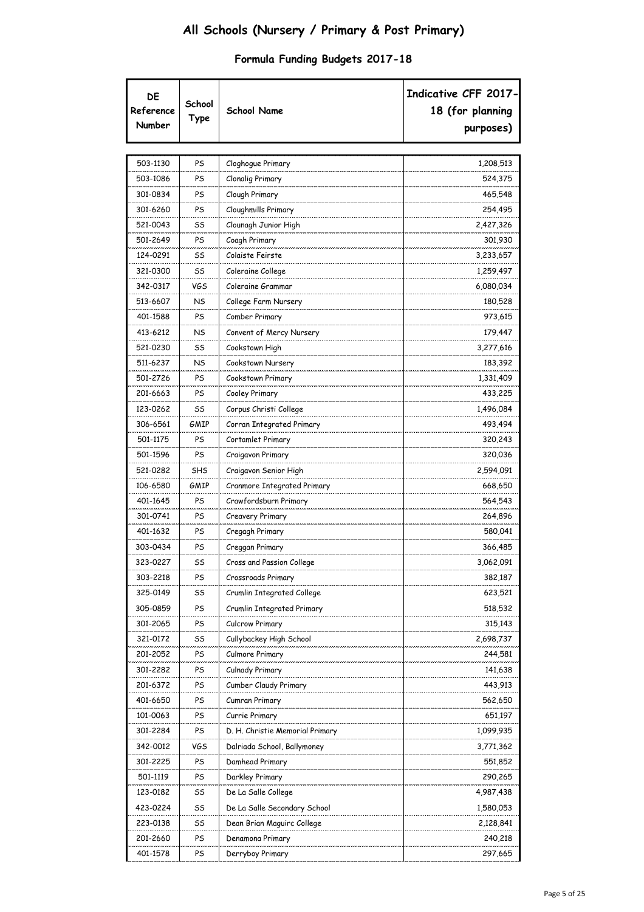| DE<br>Reference<br>Number | School<br>Type | <b>School Name</b>              | Indicative CFF 2017-<br>18 (for planning<br>purposes) |
|---------------------------|----------------|---------------------------------|-------------------------------------------------------|
|                           |                |                                 |                                                       |
| 503-1130                  | PS             | Cloghogue Primary               | 1,208,513                                             |
| 503-1086                  | PS             | <b>Clonalig Primary</b>         | 524,375                                               |
| 301-0834                  | PS             | Clough Primary                  | 465,548                                               |
| 301-6260                  | PS             | Cloughmills Primary             | 254,495                                               |
| 521-0043                  | SS             | Clounagh Junior High            | 2,427,326                                             |
| 501-2649                  | PS             | Coagh Primary                   | 301,930                                               |
| 124-0291                  | SS             | Colaiste Feirste                | 3,233,657                                             |
| 321-0300                  | SS             | Coleraine College               | 1,259,497                                             |
| 342-0317                  | VGS            | Coleraine Grammar               | 6,080,034                                             |
| 513-6607                  | NS             | College Farm Nursery            | 180,528                                               |
| 401-1588                  | PS             | Comber Primary                  | 973,615                                               |
| 413-6212                  | NS             | Convent of Mercy Nursery        | 179,447                                               |
| 521-0230                  | SS             | Cookstown High                  | 3,277,616                                             |
| 511-6237                  | <b>NS</b>      | Cookstown Nursery               | 183,392                                               |
| 501-2726                  | PS             | Cookstown Primary               | 1,331,409                                             |
| 201-6663                  | PS             | Cooley Primary                  | 433,225                                               |
| 123-0262                  | SS             | Corpus Christi College          | 1,496,084                                             |
| 306-6561                  | GMIP           | Corran Integrated Primary       | 493,494                                               |
| 501-1175                  | PS             | Cortamlet Primary               | 320,243                                               |
| 501-1596                  | PS             | Craigavon Primary               | 320,036                                               |
| 521-0282                  | <b>SHS</b>     | Craigavon Senior High           | 2,594,091                                             |
| 106-6580                  | GMIP           | Cranmore Integrated Primary     | 668,650                                               |
| 401-1645                  | PS             | Crawfordsburn Primary           | 564,543                                               |
| 301-0741                  | PS             | Creavery Primary                | 264,896                                               |
| 401-1632                  | PS             | Cregagh Primary                 | 580,041                                               |
| 303-0434                  | PS             | Creggan Primary                 | 366,485                                               |
| 323-0227                  | SS             | Cross and Passion College       | 3,062,091                                             |
| 303-2218                  | PS             | Crossroads Primary              | 382,187                                               |
| 325-0149                  | SS             | Crumlin Integrated College      | 623,521                                               |
| 305-0859                  | PS             | Crumlin Integrated Primary      | 518,532                                               |
| 301-2065                  | PS             | Culcrow Primary                 | 315,143                                               |
| 321-0172                  | SS             | Cullybackey High School         | 2,698,737                                             |
| 201-2052                  | PS             | Culmore Primary                 | 244,581                                               |
| 301-2282                  | PS             | Culnady Primary                 | 141,638                                               |
| 201-6372                  | PS             | Cumber Claudy Primary           | 443,913                                               |
| 401-6650                  | PS             | Cumran Primary                  | 562,650                                               |
| 101-0063                  | PS             | Currie Primary                  | 651,197                                               |
| 301-2284                  | PS             | D. H. Christie Memorial Primary | 1,099,935                                             |
| 342-0012                  | VGS            | Dalriada School, Ballymoney     | 3,771,362                                             |
| 301-2225                  | PS             | Damhead Primary                 | 551,852                                               |
| 501-1119                  | PS             | Darkley Primary                 | 290,265                                               |
| 123-0182                  | SS             | De La Salle College             | 4,987,438                                             |
| 423-0224                  | SS             | De La Salle Secondary School    | 1,580,053                                             |
| 223-0138                  | SS             | Dean Brian Maguirc College      | 2,128,841                                             |
| 201-2660                  | PS             | Denamona Primary                | 240,218                                               |
| 401-1578                  | PS             | Derryboy Primary                | 297,665                                               |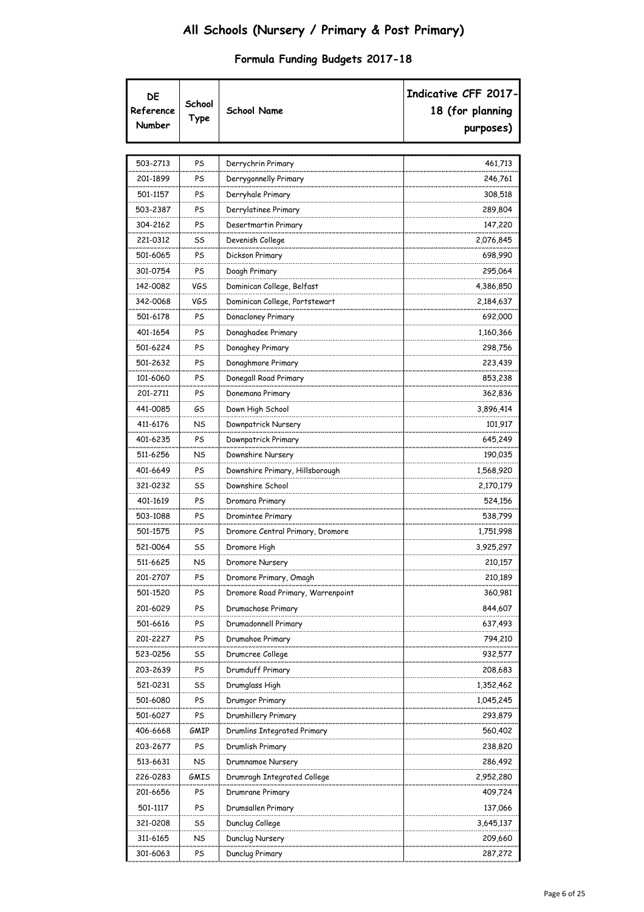| DE<br>Reference<br>Number | School<br>Type | <b>School Name</b>                | Indicative CFF 2017-<br>18 (for planning<br>purposes) |
|---------------------------|----------------|-----------------------------------|-------------------------------------------------------|
| 503-2713                  | PS             | Derrychrin Primary                | 461,713                                               |
| 201-1899                  | PS             | Derrygonnelly Primary             | 246,761                                               |
| 501-1157                  | PS             | Derryhale Primary                 | 308,518                                               |
| 503-2387                  | PS             | Derrylatinee Primary              | 289,804                                               |
| 304-2162                  | PS             | Desertmartin Primary              | 147,220                                               |
| 221-0312                  | SS             | Devenish College                  | 2,076,845                                             |
| 501-6065                  | PS             | Dickson Primary                   | 698,990                                               |
| 301-0754                  | PS             | Doagh Primary                     | 295,064                                               |
| 142-0082                  | VGS            | Dominican College, Belfast        | 4,386,850                                             |
| 342-0068                  | VGS            | Dominican College, Portstewart    | 2,184,637                                             |
| 501-6178                  | PS             | Donacloney Primary                | 692,000                                               |
| 401-1654                  | PS             | Donaghadee Primary                | 1,160,366                                             |
| 501-6224                  | PS             | Donaghey Primary                  | 298,756                                               |
| 501-2632                  | PS             | Donaghmore Primary                | 223,439                                               |
| 101-6060                  | PS             | Donegall Road Primary             | 853,238                                               |
| 201-2711                  | PS             | Donemana Primary                  | 362,836                                               |
| 441-0085                  | GS             | Down High School                  | 3,896,414                                             |
| 411-6176                  | NS             | Downpatrick Nursery               | 101,917                                               |
| 401-6235                  | PS             | Downpatrick Primary               | 645,249                                               |
| 511-6256                  | NS             | Downshire Nursery                 | 190,035                                               |
| 401-6649                  | PS             | Downshire Primary, Hillsborough   | 1,568,920                                             |
| 321-0232                  | SS             | Downshire School                  | 2,170,179                                             |
| 401-1619                  | PS             | Dromara Primary                   | 524,156                                               |
| 503-1088                  | PS             | Dromintee Primary                 | 538,799                                               |
| 501-1575                  | PS             | Dromore Central Primary, Dromore  | 1,751,998                                             |
| 521-0064                  | SS             | Dromore High                      | 3,925,297                                             |
| 511-6625                  | NS             | Dromore Nursery                   | 210,157                                               |
| 201-2707                  | PS             | Dromore Primary, Omagh            | 210,189                                               |
| 501-1520                  | PS             | Dromore Road Primary, Warrenpoint | 360,981                                               |
| 201-6029                  | PS             | Drumachose Primary                | 844,607                                               |
| 501-6616                  | PS             | Drumadonnell Primary              | 637,493                                               |
| 201-2227                  | PS             | Drumahoe Primary                  | 794,210                                               |
| 523-0256                  | SS             | Drumcree College                  | 932,577                                               |
| 203-2639                  | PS             | Drumduff Primary                  | 208,683                                               |
| 521-0231                  | SS             | Drumglass High                    | 1,352,462                                             |
| 501-6080                  | PS             | Drumgor Primary                   | 1,045,245                                             |
| 501-6027                  | PS             | Drumhillery Primary               | 293,879                                               |
| 406-6668                  | GMIP           | Drumlins Integrated Primary       | 560,402                                               |
| 203-2677                  | PS             | Drumlish Primary                  | 238,820                                               |
| 513-6631                  | NS             | Drumnamoe Nursery                 | 286,492                                               |
| 226-0283                  | GMIS           | Drumragh Integrated College       | 2,952,280                                             |
| 201-6656                  | PS             | Drumrane Primary                  | 409,724                                               |
| 501-1117                  | PS             | Drumsallen Primary                | 137,066                                               |
| 321-0208                  | SS             | Dunclug College                   | 3,645,137                                             |
| 311-6165                  | NS             | Dunclug Nursery                   | 209,660                                               |
| 301-6063                  | PS             | Dunclug Primary                   | 287,272                                               |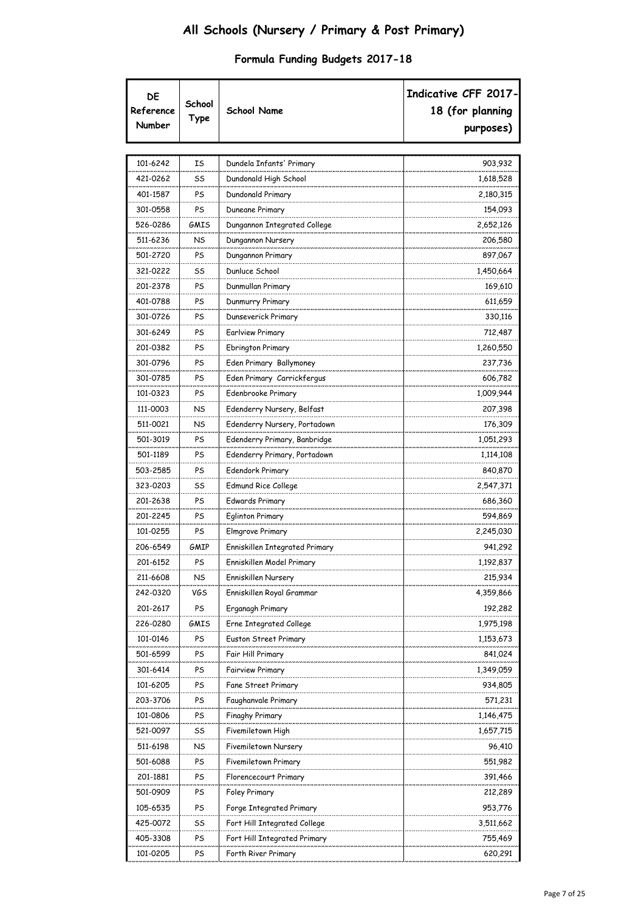| DE<br>Reference<br>Number | School<br>Type | <b>School Name</b>             | Indicative CFF 2017-<br>18 (for planning<br>purposes) |
|---------------------------|----------------|--------------------------------|-------------------------------------------------------|
| 101-6242                  | ΙS             | Dundela Infants' Primary       | 903,932                                               |
| 421-0262                  | SS             | Dundonald High School          | 1,618,528                                             |
| 401-1587                  | PS             | Dundonald Primary              | 2,180,315                                             |
| 301-0558                  | PS             | Duneane Primary                | 154,093                                               |
| 526-0286                  | GMIS           | Dungannon Integrated College   | 2,652,126                                             |
| 511-6236                  | <b>NS</b>      | Dungannon Nursery              | 206,580                                               |
| 501-2720                  | PS             | Dungannon Primary              | 897,067                                               |
| 321-0222                  | SS             | Dunluce School                 | 1,450,664                                             |
| 201-2378                  | PS             | Dunmullan Primary              | 169,610                                               |
| 401-0788                  | PS             | Dunmurry Primary               | 611,659                                               |
| 301-0726                  | PS             | Dunseverick Primary            | 330,116                                               |
| 301-6249                  | PS             | Earlview Primary               | 712,487                                               |
| 201-0382                  | PS             | <b>Ebrington Primary</b>       | 1,260,550                                             |
| 301-0796                  | PS             | Eden Primary Ballymoney        | 237,736                                               |
| 301-0785                  | PS             | Eden Primary Carrickfergus     | 606,782                                               |
| 101-0323                  | PS             | Edenbrooke Primary             | 1,009,944                                             |
| 111-0003                  | NS             | Edenderry Nursery, Belfast     | 207,398                                               |
| 511-0021                  | NS             | Edenderry Nursery, Portadown   | 176,309                                               |
| 501-3019                  | PS             | Edenderry Primary, Banbridge   | 1,051,293                                             |
| 501-1189                  | PS             | Edenderry Primary, Portadown   | 1,114,108                                             |
| 503-2585                  | PS             | Edendork Primary               | 840,870                                               |
| 323-0203                  | SS             | Edmund Rice College            | 2,547,371                                             |
| 201-2638                  | PS             | Edwards Primary                | 686,360                                               |
| 201-2245                  | PS             | <b>Eglinton Primary</b>        | 594,869                                               |
| 101-0255                  | PS             | Elmgrove Primary               | 2,245,030                                             |
| 206-6549                  | GMIP           | Enniskillen Integrated Primary | 941,292                                               |
| 201-6152                  | PS             | Enniskillen Model Primary      | 1,192,837                                             |
| 211-6608                  | NS             | Enniskillen Nursery            | 215,934                                               |
| 242-0320                  | VGS            | Enniskillen Royal Grammar      | 4,359,866                                             |
| 201-2617                  | PS             | Erganagh Primary               | 192,282                                               |
| 226-0280                  | GMIS           | Erne Integrated College        | 1,975,198                                             |
| 101-0146                  | PS             | Euston Street Primary          | 1,153,673                                             |
| 501-6599                  | PS             | Fair Hill Primary              | 841,024                                               |
| 301-6414                  | PS             | <b>Fairview Primary</b>        | 1,349,059                                             |
| 101-6205                  | PS             | Fane Street Primary            | 934,805                                               |
| 203-3706                  | PS             | Faughanvale Primary            | 571,231                                               |
| 101-0806                  | PS             | Finaghy Primary                | 1,146,475                                             |
|                           |                |                                |                                                       |
| 521-0097                  | SS<br>NS       | Fivemiletown High              | 1,657,715                                             |
| 511-6198                  |                | Fivemiletown Nursery           | 96,410                                                |
| 501-6088<br>201-1881      | PS<br>PS       | Fivemiletown Primary           | 551,982<br>391,466                                    |
| 501-0909                  | PS             | Florencecourt Primary          |                                                       |
|                           | PS             | Foley Primary                  | 212,289                                               |
| 105-6535                  |                | Forge Integrated Primary       | 953,776                                               |
| 425-0072                  | SS             | Fort Hill Integrated College   | 3,511,662                                             |
| 405-3308                  | PS<br>PS       | Fort Hill Integrated Primary   | 755,469<br>620,291                                    |
| 101-0205                  |                | Forth River Primary            |                                                       |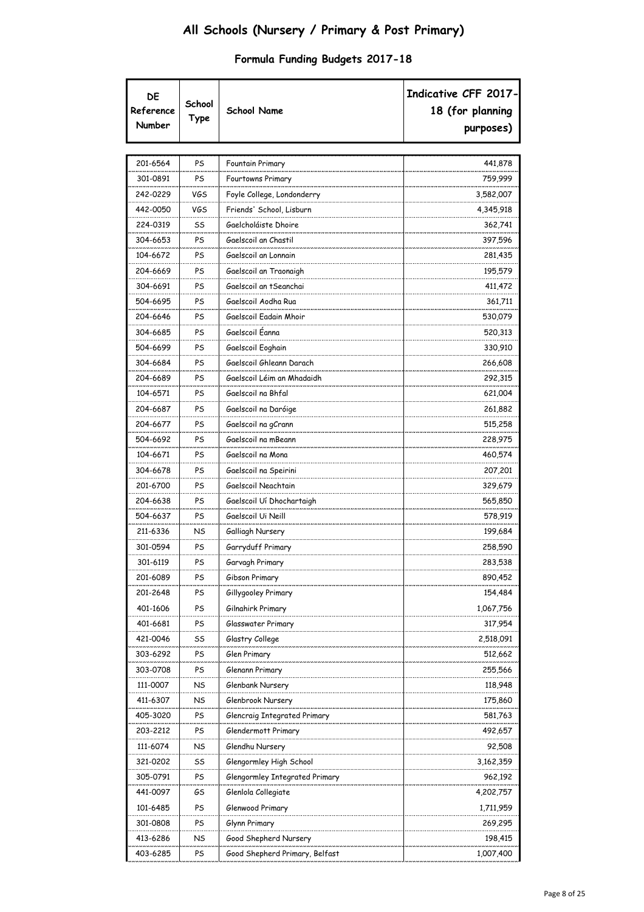| DE<br>Reference<br>Number | School<br>Type | <b>School Name</b>             | Indicative CFF 2017-<br>18 (for planning<br>purposes) |
|---------------------------|----------------|--------------------------------|-------------------------------------------------------|
| 201-6564                  | PS             | Fountain Primary               | 441,878                                               |
| 301-0891                  | PS             | Fourtowns Primary              | 759,999                                               |
| 242-0229                  | VGS            | Foyle College, Londonderry     | 3,582,007                                             |
| 442-0050                  | VGS            | Friends' School, Lisburn       | 4,345,918                                             |
| 224-0319                  | SS             | Gaelcholáiste Dhoire           | 362,741                                               |
| 304-6653                  | PS             | Gaelscoil an Chastil           | 397,596                                               |
| 104-6672                  | PS             | Gaelscoil an Lonnain           | 281,435                                               |
| 204-6669                  | PS             | Gaelscoil an Traonaigh         | 195,579                                               |
| 304-6691                  | PS             | Gaelscoil an tSeanchai         | 411,472                                               |
| 504-6695                  | PS             | Gaelscoil Aodha Rua            | 361,711                                               |
| 204-6646                  | PS             | Gaelscoil Eadain Mhoir         | 530,079                                               |
| 304-6685                  | PS             | Gaelscoil Éanna                | 520,313                                               |
| 504-6699                  | PS             | Gaelscoil Eoghain              | 330,910                                               |
| 304-6684                  | PS             | Gaelscoil Ghleann Darach       | 266,608                                               |
| 204-6689                  | PS             | Gaelscoil Léim an Mhadaidh     | 292,315                                               |
| 104-6571                  | PS             | Gaelscoil na Bhfal             | 621,004                                               |
| 204-6687                  | PS             | Gaelscoil na Daróige           | 261,882                                               |
| 204-6677                  | PS             | Gaelscoil na gCrann            | 515,258                                               |
| 504-6692                  | PS             | Gaelscoil na mBeann            | 228,975                                               |
| 104-6671                  | PS             | Gaelscoil na Mona              | 460,574                                               |
| 304-6678                  | PS             | Gaelscoil na Speirini          | 207,201                                               |
| 201-6700                  | PS             | Gaelscoil Neachtain            | 329,679                                               |
| 204-6638                  | PS             | Gaelscoil Uí Dhochartaigh      | 565,850                                               |
| 504-6637                  | PS             | Gaelscoil Ui Neill             | 578,919                                               |
| 211-6336                  | NS             | Galliagh Nursery               | 199,684                                               |
| 301-0594                  | PS             | Garryduff Primary              | 258,590                                               |
| 301-6119                  | PS             | Garvagh Primary                | 283,538                                               |
| 201-6089                  | PS             | Gibson Primary                 | 890,452                                               |
| 201-2648                  | PS             | Gillygooley Primary            | 154,484                                               |
| 401-1606                  | PS             | Gilnahirk Primary              | 1,067,756                                             |
| 401-6681                  | PS             | Glasswater Primary             | 317,954                                               |
| 421-0046                  | SS             | Glastry College                | 2,518,091                                             |
| 303-6292                  | PS             | Glen Primary                   | 512,662                                               |
| 303-0708                  | PS             | Glenann Primary                | 255,566                                               |
| 111-0007                  | NS             | Glenbank Nursery               | 118,948                                               |
| 411-6307                  | NS             | Glenbrook Nursery              | 175,860                                               |
| 405-3020                  | PS             | Glencraig Integrated Primary   | 581,763                                               |
| 203-2212                  | PS             | Glendermott Primary            | 492,657                                               |
| 111-6074                  | NS             | Glendhu Nursery                | 92,508                                                |
| 321-0202                  | SS             | Glengormley High School        | 3,162,359                                             |
| 305-0791                  | PS             | Glengormley Integrated Primary | 962,192                                               |
| 441-0097                  | GS             | Glenlola Collegiate            | 4,202,757                                             |
| 101-6485                  | PS             | Glenwood Primary               | 1,711,959                                             |
| 301-0808                  | PS             | Glynn Primary                  | 269,295                                               |
| 413-6286                  | NS             | Good Shepherd Nursery          | 198,415                                               |
| 403-6285                  | PS             | Good Shepherd Primary, Belfast | 1,007,400                                             |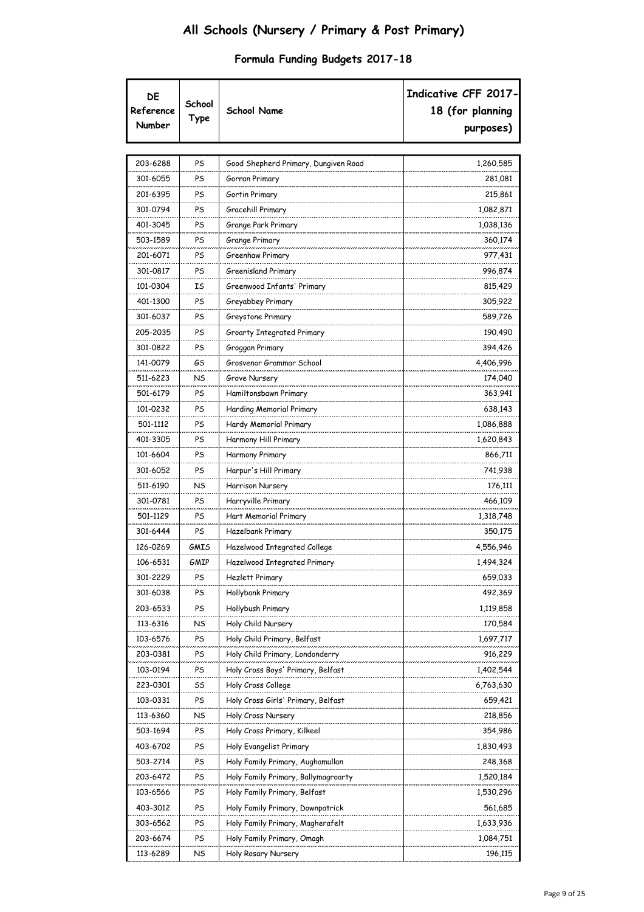| DE<br>Reference<br>Number | School<br>Type | <b>School Name</b>                   | Indicative CFF 2017-<br>18 (for planning<br>purposes) |
|---------------------------|----------------|--------------------------------------|-------------------------------------------------------|
| 203-6288                  | PS             | Good Shepherd Primary, Dungiven Road | 1,260,585                                             |
| 301-6055                  | PS             | Gorran Primary                       | 281,081                                               |
| 201-6395                  | PS             | Gortin Primary                       | 215,861                                               |
| 301-0794                  | PS             | Gracehill Primary                    | 1,082,871                                             |
| 401-3045                  | PS             | Grange Park Primary                  | 1,038,136                                             |
| 503-1589                  | PS             | Grange Primary                       | 360,174                                               |
| 201-6071                  | PS             | Greenhaw Primary                     | 977,431                                               |
| 301-0817                  | PS             | Greenisland Primary                  | 996,874                                               |
| 101-0304                  | ΙS             | Greenwood Infants' Primary           | 815,429                                               |
| 401-1300                  | PS             | Greyabbey Primary                    | 305,922                                               |
| 301-6037                  | PS             | Greystone Primary                    | 589,726                                               |
| 205-2035                  | PS             | Groarty Integrated Primary           | 190,490                                               |
| 301-0822                  | PS             | Groggan Primary                      | 394,426                                               |
| 141-0079                  | GS             | Grosvenor Grammar School             | 4,406,996                                             |
| 511-6223                  | NS             | Grove Nursery                        | 174,040                                               |
| 501-6179                  | PS             | Hamiltonsbawn Primary                | 363,941                                               |
| 101-0232                  | PS             | Harding Memorial Primary             | 638,143                                               |
| 501-1112                  | PS             | Hardy Memorial Primary               | 1,086,888                                             |
| 401-3305                  | PS             | Harmony Hill Primary                 | 1,620,843                                             |
| 101-6604                  | PS             | Harmony Primary                      | 866,711                                               |
| 301-6052                  | PS             | Harpur's Hill Primary                | 741,938                                               |
| 511-6190                  | NS             | Harrison Nursery                     | 176,111                                               |
| 301-0781                  | PS             | Harryville Primary                   | 466,109                                               |
| 501-1129                  | PS             | Hart Memorial Primary                | 1,318,748                                             |
| 301-6444                  | PS             | Hazelbank Primary                    | 350,175                                               |
| 126-0269                  | GMIS           | Hazelwood Integrated College         | 4,556,946                                             |
| 106-6531                  | GMIP           | Hazelwood Integrated Primary         | 1,494,324                                             |
| 301-2229                  | PS             | Hezlett Primary                      | 659,033                                               |
| 301-6038                  | PS             | Hollybank Primary                    | 492,369                                               |
| 203-6533                  | PS             | Hollybush Primary                    | 1,119,858                                             |
| 113-6316                  | NS             | Holy Child Nursery                   | 170,584                                               |
| 103-6576                  | PS             | Holy Child Primary, Belfast          | 1,697,717                                             |
| 203-0381                  | PS             | Holy Child Primary, Londonderry      | 916,229                                               |
| 103-0194                  | PS             | Holy Cross Boys' Primary, Belfast    | 1,402,544                                             |
| 223-0301                  | SS             | Holy Cross College                   | 6,763,630                                             |
| 103-0331                  | PS             | Holy Cross Girls' Primary, Belfast   | 659,421                                               |
| 113-6360                  | NS             | Holy Cross Nursery                   | 218,856                                               |
| 503-1694                  | PS             | Holy Cross Primary, Kilkeel          | 354,986                                               |
| 403-6702                  | PS             | Holy Evangelist Primary              | 1,830,493                                             |
| 503-2714                  | PS             | Holy Family Primary, Aughamullan     | 248,368                                               |
| 203-6472                  | PS             | Holy Family Primary, Ballymagroarty  | 1,520,184                                             |
| 103-6566                  | PS             | Holy Family Primary, Belfast         | 1,530,296                                             |
| 403-3012                  | PS             | Holy Family Primary, Downpatrick     | 561,685                                               |
| 303-6562                  | PS             | Holy Family Primary, Magherafelt     | 1,633,936                                             |
| 203-6674                  | PS             | Holy Family Primary, Omagh           | 1,084,751                                             |
| 113-6289                  | NS             | Holy Rosary Nursery                  | 196,115                                               |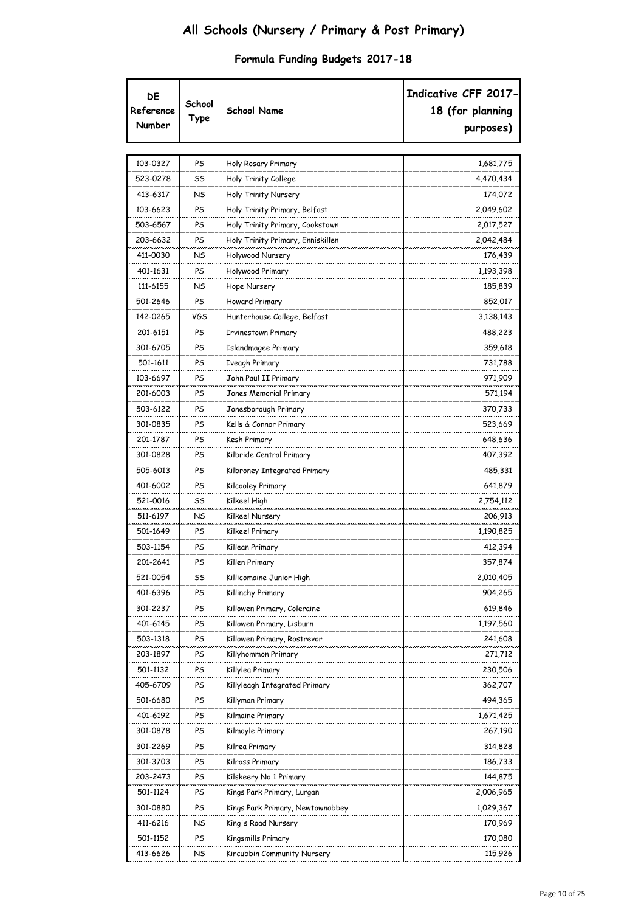| DE<br>Reference<br>Number | School<br>Type | <b>School Name</b>                | Indicative CFF 2017-<br>18 (for planning<br>purposes) |
|---------------------------|----------------|-----------------------------------|-------------------------------------------------------|
|                           |                |                                   |                                                       |
| 103-0327                  | PS             | Holy Rosary Primary               | 1,681,775                                             |
| 523-0278                  | SS             | Holy Trinity College              | 4,470,434                                             |
| 413-6317                  | NS             | Holy Trinity Nursery              | 174,072                                               |
| 103-6623                  | PS             | Holy Trinity Primary, Belfast     | 2,049,602                                             |
| 503-6567                  | PS             | Holy Trinity Primary, Cookstown   | 2,017,527                                             |
| 203-6632                  | PS             | Holy Trinity Primary, Enniskillen | 2,042,484                                             |
| 411-0030                  | NS             | Holywood Nursery                  | 176,439                                               |
| 401-1631                  | PS             | Holywood Primary                  | 1,193,398                                             |
| 111-6155                  | NS             | Hope Nursery                      | 185,839                                               |
| 501-2646                  | PS             | Howard Primary                    | 852,017                                               |
| 142-0265                  | VGS            | Hunterhouse College, Belfast      | 3,138,143                                             |
| 201-6151                  | PS             | Irvinestown Primary               | 488,223                                               |
| 301-6705                  | PS             | Islandmagee Primary               | 359,618                                               |
| 501-1611                  | PS             | <b>Iveagh Primary</b>             | 731,788                                               |
| 103-6697                  | PS             | John Paul II Primary              | 971,909                                               |
| 201-6003                  | PS             | Jones Memorial Primary            | 571,194                                               |
| 503-6122                  | PS             | Jonesborough Primary              | 370,733                                               |
| 301-0835                  | PS             | Kells & Connor Primary            | 523,669                                               |
| 201-1787                  | PS             | Kesh Primary                      | 648,636                                               |
| 301-0828                  | PS             | Kilbride Central Primary          | 407,392                                               |
| 505-6013                  | PS             | Kilbroney Integrated Primary      | 485,331                                               |
| 401-6002                  | PS             | Kilcooley Primary                 | 641,879                                               |
| 521-0016                  | SS             | Kilkeel High                      | 2,754,112                                             |
| 511-6197                  | NS             | Kilkeel Nursery                   | 206,913                                               |
| 501-1649                  | PS             | Kilkeel Primary                   | 1,190,825                                             |
| 503-1154                  | PS             | Killean Primary                   | 412,394                                               |
| 201-2641                  | PS             | Killen Primary                    | 357,874                                               |
| 521-0054                  | SS             | Killicomaine Junior High          | 2,010,405                                             |
| 401-6396                  | PS             | Killinchy Primary                 | 904,265                                               |
| 301-2237                  | PS             | Killowen Primary, Coleraine       | 619,846                                               |
| 401-6145                  | PS             | Killowen Primary, Lisburn         | 1,197,560                                             |
| 503-1318                  | PS             | Killowen Primary, Rostrevor       | 241,608                                               |
| 203-1897                  | PS             | Killyhommon Primary               | 271,712                                               |
| 501-1132                  | PS             | Killylea Primary                  | 230,506                                               |
| 405-6709                  | PS             | Killyleagh Integrated Primary     | 362,707                                               |
| 501-6680                  | PS             | Killyman Primary                  | 494,365                                               |
| 401-6192                  | PS             | Kilmaine Primary                  | 1,671,425                                             |
| 301-0878                  | PS             | Kilmoyle Primary                  | 267,190                                               |
| 301-2269                  | PS             | Kilrea Primary                    | 314,828                                               |
| 301-3703                  | PS             | Kilross Primary                   | 186,733                                               |
| 203-2473                  | PS             | Kilskeery No 1 Primary            | 144,875                                               |
| 501-1124                  | PS             | Kings Park Primary, Lurgan        | 2,006,965                                             |
| 301-0880                  | PS             | Kings Park Primary, Newtownabbey  | 1,029,367                                             |
| 411-6216                  | NS             | King's Road Nursery               | 170,969                                               |
| 501-1152                  | PS             | Kingsmills Primary                | 170,080                                               |
| 413-6626                  | NS             | Kircubbin Community Nursery       | 115,926                                               |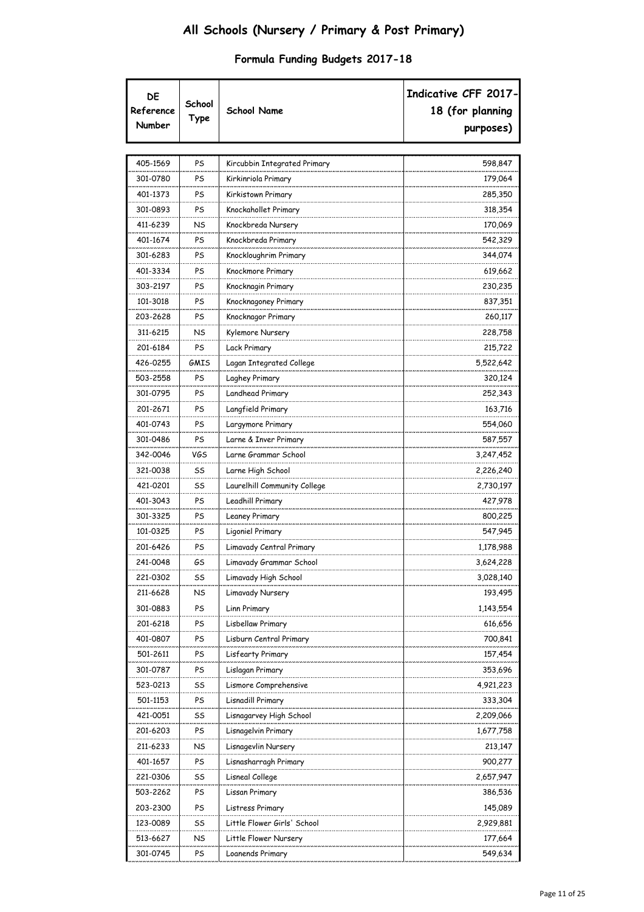| 405-1569<br>PS<br>Kircubbin Integrated Primary<br>598,847<br>301-0780<br>179,064<br>PS<br>Kirkinriola Primary<br>401-1373<br>PS<br>285,350<br>Kirkistown Primary<br>301-0893<br>Knockahollet Primary<br>318,354<br>PS<br>411-6239<br>NS<br>Knockbreda Nursery<br>170,069<br>401-1674<br>PS<br>Knockbreda Primary<br>542,329<br>301-6283<br>PS<br>Knockloughrim Primary<br>344,074<br>401-3334<br>PS<br>Knockmore Primary<br>619,662<br>303-2197<br>PS<br>Knocknagin Primary<br>230,235<br>101-3018<br>PS<br>Knocknagoney Primary<br>837,351<br>203-2628<br>Knocknagor Primary<br>260,117<br>PS<br>311-6215<br>NS<br>Kylemore Nursery<br>228,758<br>201-6184<br>215,722<br>PS<br>Lack Primary<br>426-0255<br>5,522,642<br>GMIS<br>Lagan Integrated College<br>503-2558<br>PS<br>Laghey Primary<br>320,124<br>Landhead Primary<br>252,343<br>301-0795<br>PS<br>201-2671<br>Langfield Primary<br>163,716<br>PS<br>401-0743<br>Largymore Primary<br>554,060<br>PS<br>301-0486<br>PS<br>Larne & Inver Primary<br>587,557<br>342-0046<br>VGS<br>Larne Grammar School<br>3,247,452<br>321-0038<br>Larne High School<br>SS<br>2,226,240<br>421-0201<br>Laurelhill Community College<br>2,730,197<br>SS<br>401-3043<br>PS<br>Leadhill Primary<br>427,978<br>301-3325<br>PS<br>Leaney Primary<br>800,225<br>101-0325<br>PS<br>Ligoniel Primary<br>547,945<br>201-6426<br>PS<br>Limavady Central Primary<br>1,178,988<br>Limavady Grammar School<br>3,624,228<br>GS<br>241-0048<br>3,028,140<br>221-0302<br>SS<br>Limavady High School<br>211-6628<br>NS<br>Limavady Nursery<br>193,495<br>301-0883<br>PS<br>1,143,554<br>Linn Primary<br>201-6218<br>PS<br>Lisbellaw Primary<br>616,656<br>700,841<br>401-0807<br>PS<br>Lisburn Central Primary<br>501-2611<br>PS<br>157,454<br>Lisfearty Primary<br>301-0787<br>PS<br>Lislagan Primary<br>353,696<br>523-0213<br>SS<br>Lismore Comprehensive<br>4,921,223<br>333,304<br>501-1153<br>PS<br>Lisnadill Primary<br>421-0051<br>SS<br>Lisnagarvey High School<br>2,209,066<br>201-6203<br>PS<br>Lisnagelvin Primary<br>1,677,758<br>211-6233<br>NS<br>Lisnagevlin Nursery<br>213,147<br>401-1657<br>PS<br>Lisnasharragh Primary<br>900,277<br>2,657,947<br>221-0306<br>SS<br>Lisneal College<br>503-2262<br>PS<br>Lissan Primary<br>386,536<br>203-2300<br>PS<br>Listress Primary<br>145,089<br>Little Flower Girls' School<br>123-0089<br>SS<br>2,929,881 | DE<br>Reference<br>Number | School<br>Type | <b>School Name</b> | Indicative CFF 2017-<br>18 (for planning<br>purposes) |
|----------------------------------------------------------------------------------------------------------------------------------------------------------------------------------------------------------------------------------------------------------------------------------------------------------------------------------------------------------------------------------------------------------------------------------------------------------------------------------------------------------------------------------------------------------------------------------------------------------------------------------------------------------------------------------------------------------------------------------------------------------------------------------------------------------------------------------------------------------------------------------------------------------------------------------------------------------------------------------------------------------------------------------------------------------------------------------------------------------------------------------------------------------------------------------------------------------------------------------------------------------------------------------------------------------------------------------------------------------------------------------------------------------------------------------------------------------------------------------------------------------------------------------------------------------------------------------------------------------------------------------------------------------------------------------------------------------------------------------------------------------------------------------------------------------------------------------------------------------------------------------------------------------------------------------------------------------------------------------------------------------------------------------------------------------------------------------------------------------------------------------------------------------------------------------------------------------------------------------------------------------------------------------------------------------------------------------------------------------------------------------------------|---------------------------|----------------|--------------------|-------------------------------------------------------|
|                                                                                                                                                                                                                                                                                                                                                                                                                                                                                                                                                                                                                                                                                                                                                                                                                                                                                                                                                                                                                                                                                                                                                                                                                                                                                                                                                                                                                                                                                                                                                                                                                                                                                                                                                                                                                                                                                                                                                                                                                                                                                                                                                                                                                                                                                                                                                                                              |                           |                |                    |                                                       |
|                                                                                                                                                                                                                                                                                                                                                                                                                                                                                                                                                                                                                                                                                                                                                                                                                                                                                                                                                                                                                                                                                                                                                                                                                                                                                                                                                                                                                                                                                                                                                                                                                                                                                                                                                                                                                                                                                                                                                                                                                                                                                                                                                                                                                                                                                                                                                                                              |                           |                |                    |                                                       |
|                                                                                                                                                                                                                                                                                                                                                                                                                                                                                                                                                                                                                                                                                                                                                                                                                                                                                                                                                                                                                                                                                                                                                                                                                                                                                                                                                                                                                                                                                                                                                                                                                                                                                                                                                                                                                                                                                                                                                                                                                                                                                                                                                                                                                                                                                                                                                                                              |                           |                |                    |                                                       |
|                                                                                                                                                                                                                                                                                                                                                                                                                                                                                                                                                                                                                                                                                                                                                                                                                                                                                                                                                                                                                                                                                                                                                                                                                                                                                                                                                                                                                                                                                                                                                                                                                                                                                                                                                                                                                                                                                                                                                                                                                                                                                                                                                                                                                                                                                                                                                                                              |                           |                |                    |                                                       |
|                                                                                                                                                                                                                                                                                                                                                                                                                                                                                                                                                                                                                                                                                                                                                                                                                                                                                                                                                                                                                                                                                                                                                                                                                                                                                                                                                                                                                                                                                                                                                                                                                                                                                                                                                                                                                                                                                                                                                                                                                                                                                                                                                                                                                                                                                                                                                                                              |                           |                |                    |                                                       |
|                                                                                                                                                                                                                                                                                                                                                                                                                                                                                                                                                                                                                                                                                                                                                                                                                                                                                                                                                                                                                                                                                                                                                                                                                                                                                                                                                                                                                                                                                                                                                                                                                                                                                                                                                                                                                                                                                                                                                                                                                                                                                                                                                                                                                                                                                                                                                                                              |                           |                |                    |                                                       |
|                                                                                                                                                                                                                                                                                                                                                                                                                                                                                                                                                                                                                                                                                                                                                                                                                                                                                                                                                                                                                                                                                                                                                                                                                                                                                                                                                                                                                                                                                                                                                                                                                                                                                                                                                                                                                                                                                                                                                                                                                                                                                                                                                                                                                                                                                                                                                                                              |                           |                |                    |                                                       |
|                                                                                                                                                                                                                                                                                                                                                                                                                                                                                                                                                                                                                                                                                                                                                                                                                                                                                                                                                                                                                                                                                                                                                                                                                                                                                                                                                                                                                                                                                                                                                                                                                                                                                                                                                                                                                                                                                                                                                                                                                                                                                                                                                                                                                                                                                                                                                                                              |                           |                |                    |                                                       |
|                                                                                                                                                                                                                                                                                                                                                                                                                                                                                                                                                                                                                                                                                                                                                                                                                                                                                                                                                                                                                                                                                                                                                                                                                                                                                                                                                                                                                                                                                                                                                                                                                                                                                                                                                                                                                                                                                                                                                                                                                                                                                                                                                                                                                                                                                                                                                                                              |                           |                |                    |                                                       |
|                                                                                                                                                                                                                                                                                                                                                                                                                                                                                                                                                                                                                                                                                                                                                                                                                                                                                                                                                                                                                                                                                                                                                                                                                                                                                                                                                                                                                                                                                                                                                                                                                                                                                                                                                                                                                                                                                                                                                                                                                                                                                                                                                                                                                                                                                                                                                                                              |                           |                |                    |                                                       |
|                                                                                                                                                                                                                                                                                                                                                                                                                                                                                                                                                                                                                                                                                                                                                                                                                                                                                                                                                                                                                                                                                                                                                                                                                                                                                                                                                                                                                                                                                                                                                                                                                                                                                                                                                                                                                                                                                                                                                                                                                                                                                                                                                                                                                                                                                                                                                                                              |                           |                |                    |                                                       |
|                                                                                                                                                                                                                                                                                                                                                                                                                                                                                                                                                                                                                                                                                                                                                                                                                                                                                                                                                                                                                                                                                                                                                                                                                                                                                                                                                                                                                                                                                                                                                                                                                                                                                                                                                                                                                                                                                                                                                                                                                                                                                                                                                                                                                                                                                                                                                                                              |                           |                |                    |                                                       |
|                                                                                                                                                                                                                                                                                                                                                                                                                                                                                                                                                                                                                                                                                                                                                                                                                                                                                                                                                                                                                                                                                                                                                                                                                                                                                                                                                                                                                                                                                                                                                                                                                                                                                                                                                                                                                                                                                                                                                                                                                                                                                                                                                                                                                                                                                                                                                                                              |                           |                |                    |                                                       |
|                                                                                                                                                                                                                                                                                                                                                                                                                                                                                                                                                                                                                                                                                                                                                                                                                                                                                                                                                                                                                                                                                                                                                                                                                                                                                                                                                                                                                                                                                                                                                                                                                                                                                                                                                                                                                                                                                                                                                                                                                                                                                                                                                                                                                                                                                                                                                                                              |                           |                |                    |                                                       |
|                                                                                                                                                                                                                                                                                                                                                                                                                                                                                                                                                                                                                                                                                                                                                                                                                                                                                                                                                                                                                                                                                                                                                                                                                                                                                                                                                                                                                                                                                                                                                                                                                                                                                                                                                                                                                                                                                                                                                                                                                                                                                                                                                                                                                                                                                                                                                                                              |                           |                |                    |                                                       |
|                                                                                                                                                                                                                                                                                                                                                                                                                                                                                                                                                                                                                                                                                                                                                                                                                                                                                                                                                                                                                                                                                                                                                                                                                                                                                                                                                                                                                                                                                                                                                                                                                                                                                                                                                                                                                                                                                                                                                                                                                                                                                                                                                                                                                                                                                                                                                                                              |                           |                |                    |                                                       |
|                                                                                                                                                                                                                                                                                                                                                                                                                                                                                                                                                                                                                                                                                                                                                                                                                                                                                                                                                                                                                                                                                                                                                                                                                                                                                                                                                                                                                                                                                                                                                                                                                                                                                                                                                                                                                                                                                                                                                                                                                                                                                                                                                                                                                                                                                                                                                                                              |                           |                |                    |                                                       |
|                                                                                                                                                                                                                                                                                                                                                                                                                                                                                                                                                                                                                                                                                                                                                                                                                                                                                                                                                                                                                                                                                                                                                                                                                                                                                                                                                                                                                                                                                                                                                                                                                                                                                                                                                                                                                                                                                                                                                                                                                                                                                                                                                                                                                                                                                                                                                                                              |                           |                |                    |                                                       |
|                                                                                                                                                                                                                                                                                                                                                                                                                                                                                                                                                                                                                                                                                                                                                                                                                                                                                                                                                                                                                                                                                                                                                                                                                                                                                                                                                                                                                                                                                                                                                                                                                                                                                                                                                                                                                                                                                                                                                                                                                                                                                                                                                                                                                                                                                                                                                                                              |                           |                |                    |                                                       |
|                                                                                                                                                                                                                                                                                                                                                                                                                                                                                                                                                                                                                                                                                                                                                                                                                                                                                                                                                                                                                                                                                                                                                                                                                                                                                                                                                                                                                                                                                                                                                                                                                                                                                                                                                                                                                                                                                                                                                                                                                                                                                                                                                                                                                                                                                                                                                                                              |                           |                |                    |                                                       |
|                                                                                                                                                                                                                                                                                                                                                                                                                                                                                                                                                                                                                                                                                                                                                                                                                                                                                                                                                                                                                                                                                                                                                                                                                                                                                                                                                                                                                                                                                                                                                                                                                                                                                                                                                                                                                                                                                                                                                                                                                                                                                                                                                                                                                                                                                                                                                                                              |                           |                |                    |                                                       |
|                                                                                                                                                                                                                                                                                                                                                                                                                                                                                                                                                                                                                                                                                                                                                                                                                                                                                                                                                                                                                                                                                                                                                                                                                                                                                                                                                                                                                                                                                                                                                                                                                                                                                                                                                                                                                                                                                                                                                                                                                                                                                                                                                                                                                                                                                                                                                                                              |                           |                |                    |                                                       |
|                                                                                                                                                                                                                                                                                                                                                                                                                                                                                                                                                                                                                                                                                                                                                                                                                                                                                                                                                                                                                                                                                                                                                                                                                                                                                                                                                                                                                                                                                                                                                                                                                                                                                                                                                                                                                                                                                                                                                                                                                                                                                                                                                                                                                                                                                                                                                                                              |                           |                |                    |                                                       |
|                                                                                                                                                                                                                                                                                                                                                                                                                                                                                                                                                                                                                                                                                                                                                                                                                                                                                                                                                                                                                                                                                                                                                                                                                                                                                                                                                                                                                                                                                                                                                                                                                                                                                                                                                                                                                                                                                                                                                                                                                                                                                                                                                                                                                                                                                                                                                                                              |                           |                |                    |                                                       |
|                                                                                                                                                                                                                                                                                                                                                                                                                                                                                                                                                                                                                                                                                                                                                                                                                                                                                                                                                                                                                                                                                                                                                                                                                                                                                                                                                                                                                                                                                                                                                                                                                                                                                                                                                                                                                                                                                                                                                                                                                                                                                                                                                                                                                                                                                                                                                                                              |                           |                |                    |                                                       |
|                                                                                                                                                                                                                                                                                                                                                                                                                                                                                                                                                                                                                                                                                                                                                                                                                                                                                                                                                                                                                                                                                                                                                                                                                                                                                                                                                                                                                                                                                                                                                                                                                                                                                                                                                                                                                                                                                                                                                                                                                                                                                                                                                                                                                                                                                                                                                                                              |                           |                |                    |                                                       |
|                                                                                                                                                                                                                                                                                                                                                                                                                                                                                                                                                                                                                                                                                                                                                                                                                                                                                                                                                                                                                                                                                                                                                                                                                                                                                                                                                                                                                                                                                                                                                                                                                                                                                                                                                                                                                                                                                                                                                                                                                                                                                                                                                                                                                                                                                                                                                                                              |                           |                |                    |                                                       |
|                                                                                                                                                                                                                                                                                                                                                                                                                                                                                                                                                                                                                                                                                                                                                                                                                                                                                                                                                                                                                                                                                                                                                                                                                                                                                                                                                                                                                                                                                                                                                                                                                                                                                                                                                                                                                                                                                                                                                                                                                                                                                                                                                                                                                                                                                                                                                                                              |                           |                |                    |                                                       |
|                                                                                                                                                                                                                                                                                                                                                                                                                                                                                                                                                                                                                                                                                                                                                                                                                                                                                                                                                                                                                                                                                                                                                                                                                                                                                                                                                                                                                                                                                                                                                                                                                                                                                                                                                                                                                                                                                                                                                                                                                                                                                                                                                                                                                                                                                                                                                                                              |                           |                |                    |                                                       |
|                                                                                                                                                                                                                                                                                                                                                                                                                                                                                                                                                                                                                                                                                                                                                                                                                                                                                                                                                                                                                                                                                                                                                                                                                                                                                                                                                                                                                                                                                                                                                                                                                                                                                                                                                                                                                                                                                                                                                                                                                                                                                                                                                                                                                                                                                                                                                                                              |                           |                |                    |                                                       |
|                                                                                                                                                                                                                                                                                                                                                                                                                                                                                                                                                                                                                                                                                                                                                                                                                                                                                                                                                                                                                                                                                                                                                                                                                                                                                                                                                                                                                                                                                                                                                                                                                                                                                                                                                                                                                                                                                                                                                                                                                                                                                                                                                                                                                                                                                                                                                                                              |                           |                |                    |                                                       |
|                                                                                                                                                                                                                                                                                                                                                                                                                                                                                                                                                                                                                                                                                                                                                                                                                                                                                                                                                                                                                                                                                                                                                                                                                                                                                                                                                                                                                                                                                                                                                                                                                                                                                                                                                                                                                                                                                                                                                                                                                                                                                                                                                                                                                                                                                                                                                                                              |                           |                |                    |                                                       |
|                                                                                                                                                                                                                                                                                                                                                                                                                                                                                                                                                                                                                                                                                                                                                                                                                                                                                                                                                                                                                                                                                                                                                                                                                                                                                                                                                                                                                                                                                                                                                                                                                                                                                                                                                                                                                                                                                                                                                                                                                                                                                                                                                                                                                                                                                                                                                                                              |                           |                |                    |                                                       |
|                                                                                                                                                                                                                                                                                                                                                                                                                                                                                                                                                                                                                                                                                                                                                                                                                                                                                                                                                                                                                                                                                                                                                                                                                                                                                                                                                                                                                                                                                                                                                                                                                                                                                                                                                                                                                                                                                                                                                                                                                                                                                                                                                                                                                                                                                                                                                                                              |                           |                |                    |                                                       |
|                                                                                                                                                                                                                                                                                                                                                                                                                                                                                                                                                                                                                                                                                                                                                                                                                                                                                                                                                                                                                                                                                                                                                                                                                                                                                                                                                                                                                                                                                                                                                                                                                                                                                                                                                                                                                                                                                                                                                                                                                                                                                                                                                                                                                                                                                                                                                                                              |                           |                |                    |                                                       |
|                                                                                                                                                                                                                                                                                                                                                                                                                                                                                                                                                                                                                                                                                                                                                                                                                                                                                                                                                                                                                                                                                                                                                                                                                                                                                                                                                                                                                                                                                                                                                                                                                                                                                                                                                                                                                                                                                                                                                                                                                                                                                                                                                                                                                                                                                                                                                                                              |                           |                |                    |                                                       |
|                                                                                                                                                                                                                                                                                                                                                                                                                                                                                                                                                                                                                                                                                                                                                                                                                                                                                                                                                                                                                                                                                                                                                                                                                                                                                                                                                                                                                                                                                                                                                                                                                                                                                                                                                                                                                                                                                                                                                                                                                                                                                                                                                                                                                                                                                                                                                                                              |                           |                |                    |                                                       |
|                                                                                                                                                                                                                                                                                                                                                                                                                                                                                                                                                                                                                                                                                                                                                                                                                                                                                                                                                                                                                                                                                                                                                                                                                                                                                                                                                                                                                                                                                                                                                                                                                                                                                                                                                                                                                                                                                                                                                                                                                                                                                                                                                                                                                                                                                                                                                                                              |                           |                |                    |                                                       |
|                                                                                                                                                                                                                                                                                                                                                                                                                                                                                                                                                                                                                                                                                                                                                                                                                                                                                                                                                                                                                                                                                                                                                                                                                                                                                                                                                                                                                                                                                                                                                                                                                                                                                                                                                                                                                                                                                                                                                                                                                                                                                                                                                                                                                                                                                                                                                                                              |                           |                |                    |                                                       |
|                                                                                                                                                                                                                                                                                                                                                                                                                                                                                                                                                                                                                                                                                                                                                                                                                                                                                                                                                                                                                                                                                                                                                                                                                                                                                                                                                                                                                                                                                                                                                                                                                                                                                                                                                                                                                                                                                                                                                                                                                                                                                                                                                                                                                                                                                                                                                                                              |                           |                |                    |                                                       |
|                                                                                                                                                                                                                                                                                                                                                                                                                                                                                                                                                                                                                                                                                                                                                                                                                                                                                                                                                                                                                                                                                                                                                                                                                                                                                                                                                                                                                                                                                                                                                                                                                                                                                                                                                                                                                                                                                                                                                                                                                                                                                                                                                                                                                                                                                                                                                                                              |                           |                |                    |                                                       |
|                                                                                                                                                                                                                                                                                                                                                                                                                                                                                                                                                                                                                                                                                                                                                                                                                                                                                                                                                                                                                                                                                                                                                                                                                                                                                                                                                                                                                                                                                                                                                                                                                                                                                                                                                                                                                                                                                                                                                                                                                                                                                                                                                                                                                                                                                                                                                                                              |                           |                |                    |                                                       |
|                                                                                                                                                                                                                                                                                                                                                                                                                                                                                                                                                                                                                                                                                                                                                                                                                                                                                                                                                                                                                                                                                                                                                                                                                                                                                                                                                                                                                                                                                                                                                                                                                                                                                                                                                                                                                                                                                                                                                                                                                                                                                                                                                                                                                                                                                                                                                                                              |                           |                |                    |                                                       |
|                                                                                                                                                                                                                                                                                                                                                                                                                                                                                                                                                                                                                                                                                                                                                                                                                                                                                                                                                                                                                                                                                                                                                                                                                                                                                                                                                                                                                                                                                                                                                                                                                                                                                                                                                                                                                                                                                                                                                                                                                                                                                                                                                                                                                                                                                                                                                                                              |                           |                |                    |                                                       |
|                                                                                                                                                                                                                                                                                                                                                                                                                                                                                                                                                                                                                                                                                                                                                                                                                                                                                                                                                                                                                                                                                                                                                                                                                                                                                                                                                                                                                                                                                                                                                                                                                                                                                                                                                                                                                                                                                                                                                                                                                                                                                                                                                                                                                                                                                                                                                                                              |                           |                |                    |                                                       |
| Little Flower Nursery                                                                                                                                                                                                                                                                                                                                                                                                                                                                                                                                                                                                                                                                                                                                                                                                                                                                                                                                                                                                                                                                                                                                                                                                                                                                                                                                                                                                                                                                                                                                                                                                                                                                                                                                                                                                                                                                                                                                                                                                                                                                                                                                                                                                                                                                                                                                                                        | 513-6627                  | NS             |                    | 177,664                                               |
| 549,634<br>301-0745<br>PS<br>Loanends Primary                                                                                                                                                                                                                                                                                                                                                                                                                                                                                                                                                                                                                                                                                                                                                                                                                                                                                                                                                                                                                                                                                                                                                                                                                                                                                                                                                                                                                                                                                                                                                                                                                                                                                                                                                                                                                                                                                                                                                                                                                                                                                                                                                                                                                                                                                                                                                |                           |                |                    |                                                       |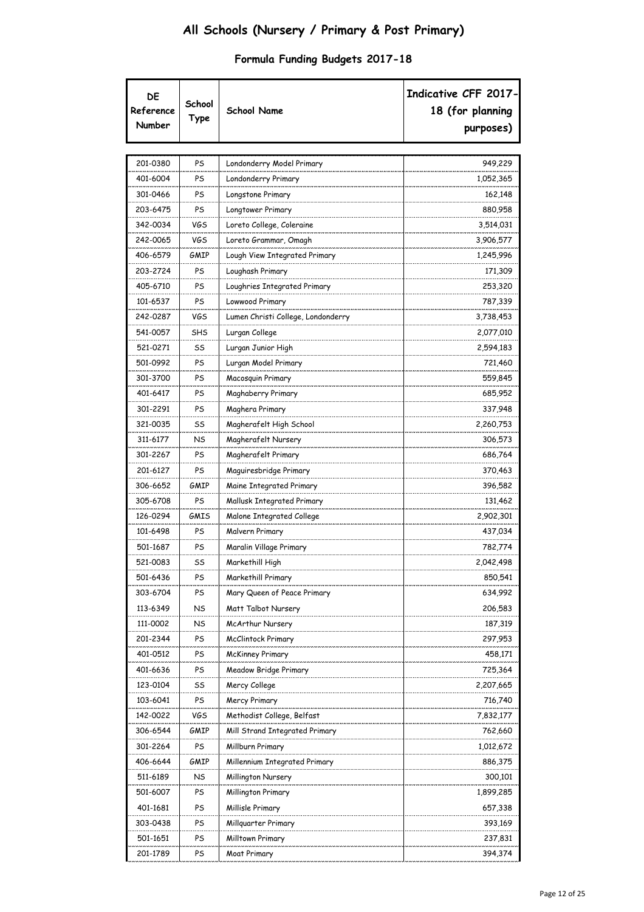| DE<br>Reference<br>Number | School<br>Type | <b>School Name</b>                 | Indicative CFF 2017-<br>18 (for planning<br>purposes) |
|---------------------------|----------------|------------------------------------|-------------------------------------------------------|
| 201-0380                  | PS             | Londonderry Model Primary          | 949,229                                               |
| 401-6004                  | PS             | Londonderry Primary                | 1,052,365                                             |
| 301-0466                  | PS             | Longstone Primary                  | 162,148                                               |
| 203-6475                  | PS             | Longtower Primary                  | 880,958                                               |
| 342-0034                  | VGS            | Loreto College, Coleraine          | 3,514,031                                             |
| 242-0065                  | VGS            | Loreto Grammar, Omagh              | 3,906,577                                             |
| 406-6579                  | GMIP           | Lough View Integrated Primary      | 1,245,996                                             |
| 203-2724                  | PS             | Loughash Primary                   | 171,309                                               |
| 405-6710                  | PS             | Loughries Integrated Primary       | 253,320                                               |
| 101-6537                  | PS             | Lowwood Primary                    | 787,339                                               |
| 242-0287                  | VGS            | Lumen Christi College, Londonderry | 3,738,453                                             |
| 541-0057                  | SHS            | Lurgan College                     | 2,077,010                                             |
| 521-0271                  | SS             | Lurgan Junior High                 | 2,594,183                                             |
| 501-0992                  | PS             | Lurgan Model Primary               | 721,460                                               |
| 301-3700                  | PS             | Macosquin Primary                  | 559,845                                               |
| 401-6417                  | PS             | Maghaberry Primary                 | 685,952                                               |
| 301-2291                  | PS             | Maghera Primary                    | 337,948                                               |
| 321-0035                  | SS             | Magherafelt High School            | 2,260,753                                             |
| 311-6177                  | NS             | Magherafelt Nursery                | 306,573                                               |
| 301-2267                  | PS             | Magherafelt Primary                | 686,764                                               |
| 201-6127                  | PS             | Maguiresbridge Primary             | 370,463                                               |
| 306-6652                  | GMIP           | Maine Integrated Primary           | 396,582                                               |
| 305-6708                  | PS             | Mallusk Integrated Primary         | 131,462                                               |
| 126-0294                  | GMIS           | Malone Integrated College          | 2,902,301                                             |
| 101-6498                  | PS             | Malvern Primary                    | 437,034                                               |
| 501-1687                  | PS             | Maralin Village Primary            | 782,774                                               |
| 521-0083                  | SS             | Markethill High                    | 2,042,498                                             |
| 501-6436                  | PS             | Markethill Primary                 | 850,541                                               |
| 303-6704                  | PS             | Mary Queen of Peace Primary        | 634,992                                               |
| 113-6349                  | NS             | Matt Talbot Nursery                | 206,583                                               |
| 111-0002                  | NS             | McArthur Nursery                   | 187,319                                               |
| 201-2344                  | PS             | McClintock Primary                 | 297,953                                               |
| 401-0512                  | PS             | <b>McKinney Primary</b>            | 458,171                                               |
| 401-6636                  | PS             | Meadow Bridge Primary              | 725,364                                               |
| 123-0104                  | SS             | Mercy College                      | 2,207,665                                             |
| 103-6041                  | PS             | Mercy Primary                      | 716,740                                               |
| 142-0022                  | VGS            | Methodist College, Belfast         | 7,832,177                                             |
| 306-6544                  | GMIP           | Mill Strand Integrated Primary     | 762,660                                               |
| 301-2264                  | PS             | Millburn Primary                   | 1,012,672                                             |
| 406-6644                  | GMIP           | Millennium Integrated Primary      | 886,375                                               |
| 511-6189                  | <b>NS</b>      | Millington Nursery                 | 300,101                                               |
| 501-6007                  | PS             | Millington Primary                 | 1,899,285                                             |
| 401-1681                  | PS             | Millisle Primary                   | 657,338                                               |
| 303-0438                  | PS             | Millguarter Primary                | 393,169                                               |
| 501-1651                  | PS             | Milltown Primary                   | 237,831                                               |
| 201-1789                  | PS             | Moat Primary                       | 394,374                                               |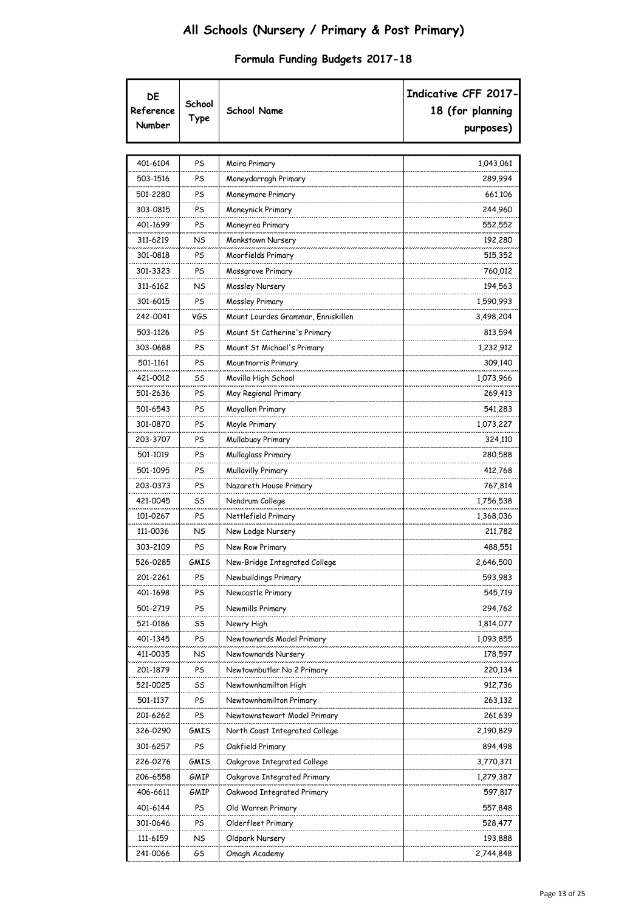| DE<br>Reference<br>Number | School<br>Type | <b>School Name</b>                 | Indicative CFF 2017-<br>18 (for planning<br>purposes) |
|---------------------------|----------------|------------------------------------|-------------------------------------------------------|
|                           |                |                                    |                                                       |
| 401-6104                  | PS             | Moira Primary                      | 1,043,061                                             |
| 503-1516                  | PS             | Moneydarragh Primary               | 289,994                                               |
| 501-2280                  | PS             | Moneymore Primary                  | 661,106                                               |
| 303-0815                  | PS             | Moneynick Primary                  | 244,960                                               |
| 401-1699                  | PS             | Moneyrea Primary                   | 552,552                                               |
| 311-6219                  | NS             | Monkstown Nursery                  | 192,280                                               |
| 301-0818                  | PS             | Moorfields Primary                 | 515,352                                               |
| 301-3323                  | PS             | Mossgrove Primary                  | 760,012                                               |
| 311-6162                  | NS             | Mossley Nursery                    | 194,563                                               |
| 301-6015                  | PS             | Mossley Primary                    | 1,590,993                                             |
| 242-0041                  | VGS            | Mount Lourdes Grammar, Enniskillen | 3,498,204                                             |
| 503-1126                  | PS             | Mount St Catherine's Primary       | 813,594                                               |
| 303-0688                  | PS             | Mount St Michael's Primary         | 1,232,912                                             |
| 501-1161                  | PS             | Mountnorris Primary                | 309,140                                               |
| 421-0012                  | SS             | Movilla High School                | 1,073,966                                             |
| 501-2636                  | PS             | Moy Regional Primary               | 269,413                                               |
| 501-6543                  | PS             | Moyallon Primary                   | 541,283                                               |
| 301-0870                  | PS             | Moyle Primary                      | 1,073,227                                             |
| 203-3707                  | PS             | Mullabuoy Primary                  | 324,110                                               |
| 501-1019                  | PS             | Mullaglass Primary                 | 280,588                                               |
| 501-1095                  | PS             | Mullavilly Primary                 | 412,768                                               |
| 203-0373                  | PS             | Nazareth House Primary             | 767,814                                               |
| 421-0045                  | SS             | Nendrum College                    | 1,756,538                                             |
| 101-0267                  | PS             | Nettlefield Primary                | 1,368,036                                             |
| 111-0036                  | NS             | New Lodge Nursery                  | 211,782                                               |
| 303-2109                  | PS             | New Row Primary                    | 488,551                                               |
| 526-0285                  | GMIS           | New-Bridge Integrated College      | 2,646,500                                             |
| 201-2261                  | PS             | Newbuildings Primary               | 593,983                                               |
| 401-1698                  | PS             | Newcastle Primary                  | 545,719                                               |
| 501-2719                  | PS             | Newmills Primary                   | 294,762                                               |
| 521-0186                  | SS             | Newry High                         | 1,814,077                                             |
| 401-1345                  | PS             | Newtownards Model Primary          | 1,093,855                                             |
| 411-0035                  | NS             | Newtownards Nursery                | 178,597                                               |
| 201-1879                  | PS             | Newtownbutler No 2 Primary         | 220,134                                               |
| 521-0025                  | SS             | Newtownhamilton High               | 912,736                                               |
| 501-1137                  | PS             | Newtownhamilton Primary            | 263,132                                               |
| 201-6262                  | PS             | Newtownstewart Model Primary       | 261,639                                               |
| 326-0290                  | GMIS           | North Coast Integrated College     | 2,190,829                                             |
| 301-6257                  | PS             | Oakfield Primary                   | 894,498                                               |
| 226-0276                  | GMIS           | Oakgrove Integrated College        | 3,770,371                                             |
| 206-6558                  | GMIP           | Oakgrove Integrated Primary        | 1,279,387                                             |
| 406-6611                  | GMIP           | Oakwood Integrated Primary         | 597,817                                               |
| 401-6144                  | PS             | Old Warren Primary                 | 557,848                                               |
| 301-0646                  | PS             | Olderfleet Primary                 | 528,477                                               |
| 111-6159                  | NS             | Oldpark Nursery                    | 193,888                                               |
| 241-0066                  | GS             | Omagh Academy                      | 2,744,848                                             |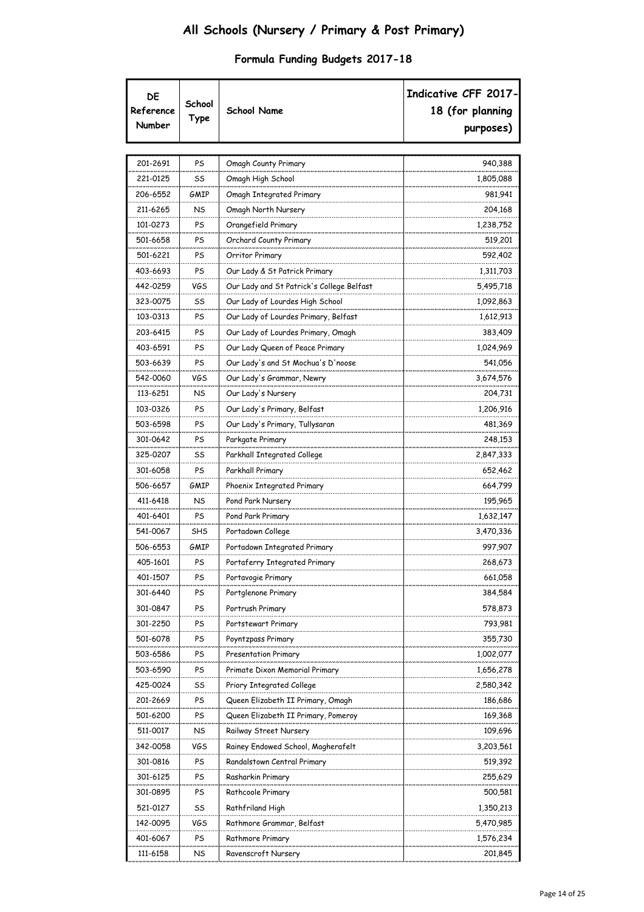| DE<br>Reference<br>Number | School<br>Type | <b>School Name</b>                        | Indicative CFF 2017-<br>18 (for planning<br>purposes) |
|---------------------------|----------------|-------------------------------------------|-------------------------------------------------------|
|                           |                |                                           |                                                       |
| 201-2691                  | PS             | Omagh County Primary                      | 940,388                                               |
| 221-0125                  | SS             | Omagh High School                         | 1,805,088                                             |
| 206-6552                  | GMIP           | Omagh Integrated Primary                  | 981,941                                               |
| 211-6265                  | NS             | Omagh North Nursery                       | 204,168                                               |
| 101-0273                  | PS             | Orangefield Primary                       | 1,238,752                                             |
| 501-6658                  | PS             | Orchard County Primary                    | 519,201                                               |
| 501-6221                  | PS             | Orritor Primary                           | 592,402                                               |
| 403-6693                  | PS             | Our Lady & St Patrick Primary             | 1,311,703                                             |
| 442-0259                  | VGS            | Our Lady and St Patrick's College Belfast | 5,495,718                                             |
| 323-0075                  | SS             | Our Lady of Lourdes High School           | 1,092,863                                             |
| 103-0313                  | PS             | Our Lady of Lourdes Primary, Belfast      | 1,612,913                                             |
| 203-6415                  | PS             | Our Lady of Lourdes Primary, Omagh        | 383,409                                               |
| 403-6591                  | PS             | Our Lady Queen of Peace Primary           | 1,024,969                                             |
| 503-6639                  | PS             | Our Lady's and St Mochua's D'noose        | 541,056                                               |
| 542-0060                  | VGS            | Our Lady's Grammar, Newry                 | 3,674,576                                             |
| 113-6251                  | NS             | Our Lady's Nursery                        | 204,731                                               |
| 103-0326                  | PS             | Our Lady's Primary, Belfast               | 1,206,916                                             |
| 503-6598                  | PS             | Our Lady's Primary, Tullysaran            | 481,369                                               |
| 301-0642                  | PS             | Parkgate Primary                          | 248,153                                               |
| 325-0207                  | SS             | Parkhall Integrated College               | 2,847,333                                             |
| 301-6058                  | PS             | Parkhall Primary                          | 652,462                                               |
| 506-6657                  | GMIP           | Phoenix Integrated Primary                | 664,799                                               |
| 411-6418                  | NS             | Pond Park Nursery                         | 195,965                                               |
| 401-6401                  | PS             | Pond Park Primary                         | 1,632,147                                             |
| 541-0067                  | <b>SHS</b>     | Portadown College                         | 3,470,336                                             |
| 506-6553                  | GMIP           | Portadown Integrated Primary              | 997,907                                               |
| 405-1601                  | PS             | Portaferry Integrated Primary             | 268,673                                               |
| 401-1507                  | PS             | Portavogie Primary                        | 661,058                                               |
| 301-6440                  | PS             | Portglenone Primary                       | 384,584                                               |
| 301-0847                  | PS             | Portrush Primary                          | 578,873                                               |
| 301-2250                  | PS             | Portstewart Primary                       | 793,981                                               |
| 501-6078                  | PS             | Poyntzpass Primary                        | 355,730                                               |
| 503-6586                  | PS             | <b>Presentation Primary</b>               | 1,002,077                                             |
| 503-6590                  | PS             | Primate Dixon Memorial Primary            | 1,656,278                                             |
| 425-0024                  | SS             | Priory Integrated College                 | 2,580,342                                             |
| 201-2669                  | PS             | Queen Elizabeth II Primary, Omagh         | 186,686                                               |
| 501-6200                  | PS             | Queen Elizabeth II Primary, Pomeroy       | 169,368                                               |
| 511-0017                  | NS             | Railway Street Nursery                    | 109,696                                               |
| 342-0058                  | VGS            | Rainey Endowed School, Magherafelt        | 3,203,561                                             |
| 301-0816                  | PS             | Randalstown Central Primary               | 519,392                                               |
| 301-6125                  | PS             | Rasharkin Primary                         | 255,629                                               |
| 301-0895                  | PS             | Rathcoole Primary                         | 500,581                                               |
| 521-0127                  | SS             | Rathfriland High                          | 1,350,213                                             |
| 142-0095                  | VGS            | Rathmore Grammar, Belfast                 | 5,470,985                                             |
| 401-6067                  | PS             | Rathmore Primary                          | 1,576,234                                             |
| 111-6158                  | NS             | Ravenscroft Nursery                       | 201,845                                               |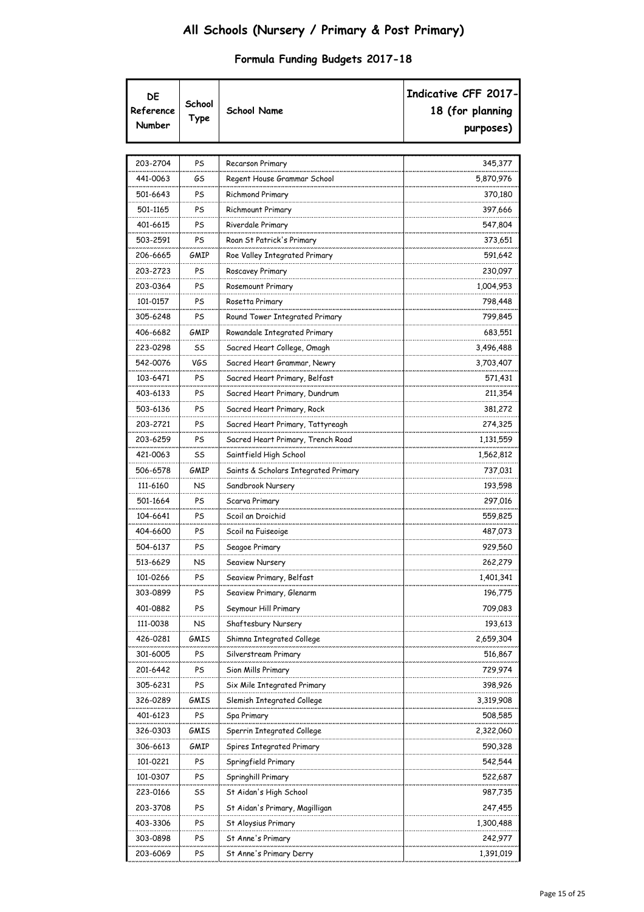|  |  |  | Formula Funding Budgets 2017-18 |
|--|--|--|---------------------------------|
|--|--|--|---------------------------------|

| DE<br>Reference<br>Number | School<br>Type | School Name                          | Indicative CFF 2017-<br>18 (for planning<br>purposes) |
|---------------------------|----------------|--------------------------------------|-------------------------------------------------------|
| 203-2704                  | PS             | Recarson Primary                     | 345,377                                               |
| 441-0063                  | GS             | Regent House Grammar School          | 5,870,976                                             |
| 501-6643                  | PS             | <b>Richmond Primary</b>              | 370,180                                               |
| 501-1165                  | PS             | Richmount Primary                    | 397,666                                               |
| 401-6615                  | PS             | Riverdale Primary                    | 547,804                                               |
| 503-2591                  | PS             | Roan St Patrick's Primary            | 373,651                                               |
| 206-6665                  | GMIP           | Roe Valley Integrated Primary        | 591,642                                               |
| 203-2723                  | PS             | Roscavey Primary                     | 230,097                                               |
| 203-0364                  | PS             | Rosemount Primary                    | 1,004,953                                             |
| 101-0157                  | PS             | Rosetta Primary                      | 798,448                                               |
| 305-6248                  | PS             | Round Tower Integrated Primary       | 799,845                                               |
| 406-6682                  | GMIP           | Rowandale Integrated Primary         | 683,551                                               |
| 223-0298                  | SS             | Sacred Heart College, Omagh          | 3,496,488                                             |
| 542-0076                  | VGS            | Sacred Heart Grammar, Newry          | 3,703,407                                             |
| 103-6471                  | PS             | Sacred Heart Primary, Belfast        | 571,431                                               |
| 403-6133                  | PS             | Sacred Heart Primary, Dundrum        | 211,354                                               |
| 503-6136                  | PS             | Sacred Heart Primary, Rock           | 381,272                                               |
| 203-2721                  | PS             | Sacred Heart Primary, Tattyreagh     | 274,325                                               |
| 203-6259                  | PS             | Sacred Heart Primary, Trench Road    | 1,131,559                                             |
| 421-0063                  | SS             | Saintfield High School               | 1,562,812                                             |
| 506-6578                  | GMIP           | Saints & Scholars Integrated Primary | 737,031                                               |
| 111-6160                  | NS             | Sandbrook Nursery                    | 193,598                                               |
| 501-1664                  | PS             | Scarva Primary                       | 297,016                                               |
| 104-6641                  | PS             | Scoil an Droichid                    | 559,825                                               |
| 404-6600                  | PS             | Scoil na Fuiseoige                   | 487,073                                               |
| 504-6137                  | PS             | Seagoe Primary                       | 929,560                                               |
| 513-6629                  | NS             | Seaview Nursery                      | 262,279                                               |
| 101-0266                  | PS             | Seaview Primary, Belfast             | 1,401,341                                             |
| 303-0899                  | PS             | Seaview Primary, Glenarm             | 196,775                                               |
| 401-0882                  | PS             | Seymour Hill Primary                 | 709,083                                               |
| 111-0038                  | NS             | Shaftesbury Nursery                  | 193,613                                               |
| 426-0281                  | GMIS           | Shimna Integrated College            | 2,659,304                                             |
| 301-6005                  | PS             | Silverstream Primary                 | 516,867                                               |
| 201-6442                  | PS             | Sion Mills Primary                   | 729,974                                               |
| 305-6231                  | PS             | Six Mile Integrated Primary          | 398,926                                               |
| 326-0289                  | GMIS           | Slemish Integrated College           | 3,319,908                                             |
| 401-6123                  | PS             | Spa Primary                          | 508,585                                               |
| 326-0303                  | GMIS           | Sperrin Integrated College           | 2,322,060                                             |
| 306-6613                  | GMIP           | Spires Integrated Primary            | 590,328                                               |
| 101-0221                  | PS             | Springfield Primary                  | 542,544                                               |
| 101-0307                  | PS             | Springhill Primary                   | 522,687                                               |
| 223-0166                  | SS             | St Aidan's High School               | 987,735                                               |
| 203-3708                  | PS             | St Aidan's Primary, Magilligan       | 247,455                                               |
| 403-3306                  | PS             | St Aloysius Primary                  | 1,300,488                                             |
| 303-0898                  | PS             | St Anne's Primary                    | 242,977                                               |
| 203-6069                  | PS             | St Anne's Primary Derry              | 1,391,019                                             |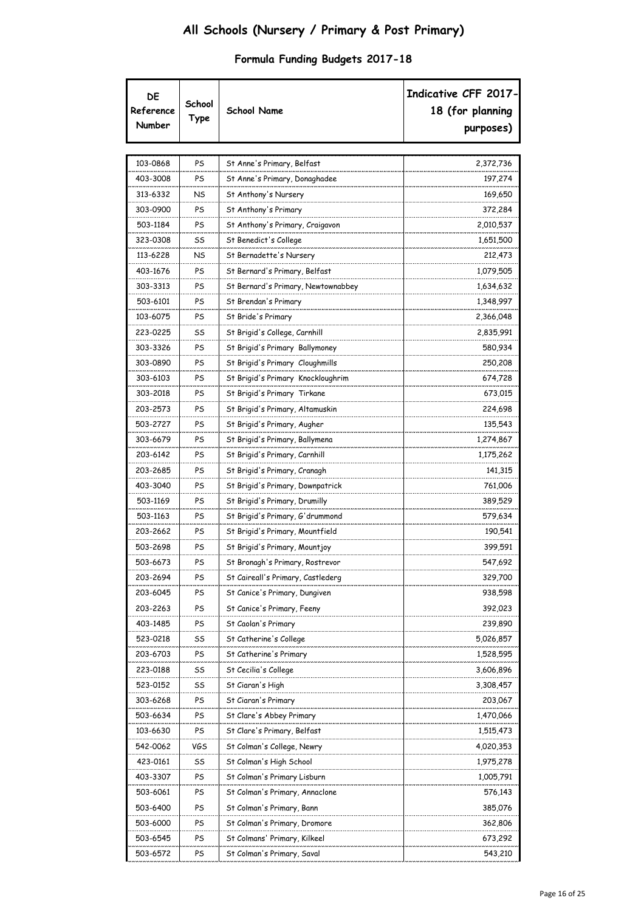|  |  |  | Formula Funding Budgets 2017-18 |
|--|--|--|---------------------------------|
|--|--|--|---------------------------------|

| DE<br>Reference<br>Number | School<br>Type | <b>School Name</b>                 | Indicative CFF 2017-<br>18 (for planning<br>purposes) |
|---------------------------|----------------|------------------------------------|-------------------------------------------------------|
| 103-0868                  | PS             | St Anne's Primary, Belfast         | 2,372,736                                             |
| 403-3008                  | PS             | St Anne's Primary, Donaghadee      | 197,274                                               |
| 313-6332                  | NS             | St Anthony's Nursery               | 169,650                                               |
| 303-0900                  | PS             | St Anthony's Primary               | 372,284                                               |
| 503-1184                  | PS             | St Anthony's Primary, Craigavon    | 2,010,537                                             |
| 323-0308                  | SS             | St Benedict's College              | 1,651,500                                             |
| 113-6228                  | NS             | St Bernadette's Nursery            | 212,473                                               |
| 403-1676                  | PS             | St Bernard's Primary, Belfast      | 1,079,505                                             |
| 303-3313                  | PS             | St Bernard's Primary, Newtownabbey | 1,634,632                                             |
| 503-6101                  | PS             | St Brendan's Primary               | 1,348,997                                             |
| 103-6075                  | PS             | St Bride's Primary                 | 2,366,048                                             |
| 223-0225                  | SS             | St Brigid's College, Carnhill      | 2,835,991                                             |
| 303-3326                  | PS             | St Brigid's Primary Ballymoney     | 580,934                                               |
| 303-0890                  | PS             | St Brigid's Primary Cloughmills    | 250,208                                               |
| 303-6103                  | PS             | St Brigid's Primary Knockloughrim  | 674,728                                               |
| 303-2018                  | PS             | St Brigid's Primary Tirkane        | 673,015                                               |
| 203-2573                  | PS             | St Brigid's Primary, Altamuskin    | 224,698                                               |
| 503-2727                  | PS             | St Brigid's Primary, Augher        | 135,543                                               |
| 303-6679                  | PS             | St Brigid's Primary, Ballymena     | 1,274,867                                             |
| 203-6142                  | PS             | St Brigid's Primary, Carnhill      | 1,175,262                                             |
| 203-2685                  | PS             | St Brigid's Primary, Cranagh       | 141,315                                               |
| 403-3040                  | PS             | St Brigid's Primary, Downpatrick   | 761,006                                               |
| 503-1169                  | PS             | St Brigid's Primary, Drumilly      | 389,529                                               |
| 503-1163                  | PS             | St Brigid's Primary, G'drummond    | 579,634                                               |
| 203-2662                  | PS             | St Brigid's Primary, Mountfield    | 190,541                                               |
| 503-2698                  | PS             | St Brigid's Primary, Mountjoy      | 399,591                                               |
| 503-6673                  | PS             | St Bronagh's Primary, Rostrevor    | 547,692                                               |
| 203-2694                  | PS             | St Caireall's Primary, Castlederg  | 329,700                                               |
| 203-6045                  | PS             | St Canice's Primary, Dungiven      | 938,598                                               |
| 203-2263                  | PS             | St Canice's Primary, Feeny         | 392,023                                               |
| 403-1485                  | PS             | St Caolan's Primary                | 239,890                                               |
| 523-0218                  | SS             | St Catherine's College             | 5,026,857                                             |
| 203-6703                  | PS             | St Catherine's Primary             | 1,528,595                                             |
| 223-0188                  | SS             | St Cecilia's College               | 3,606,896                                             |
| 523-0152                  | SS             | St Ciaran's High                   | 3,308,457                                             |
| 303-6268                  | PS             | St Ciaran's Primary                | 203,067                                               |
| 503-6634                  | PS             | St Clare's Abbey Primary           | 1,470,066                                             |
| 103-6630                  | PS             | St Clare's Primary, Belfast        | 1,515,473                                             |
| 542-0062                  | VGS            | St Colman's College, Newry         | 4,020,353                                             |
| 423-0161                  | SS             | St Colman's High School            | 1,975,278                                             |
| 403-3307                  | PS             | St Colman's Primary Lisburn        | 1,005,791                                             |
| 503-6061                  | PS             | St Colman's Primary, Annaclone     | 576,143                                               |
| 503-6400                  | PS             | St Colman's Primary, Bann          | 385,076                                               |
| 503-6000                  | PS             | St Colman's Primary, Dromore       | 362,806                                               |
| 503-6545                  | PS             | St Colmans' Primary, Kilkeel       | 673,292                                               |
| 503-6572                  | PS             | St Colman's Primary, Saval         | 543,210                                               |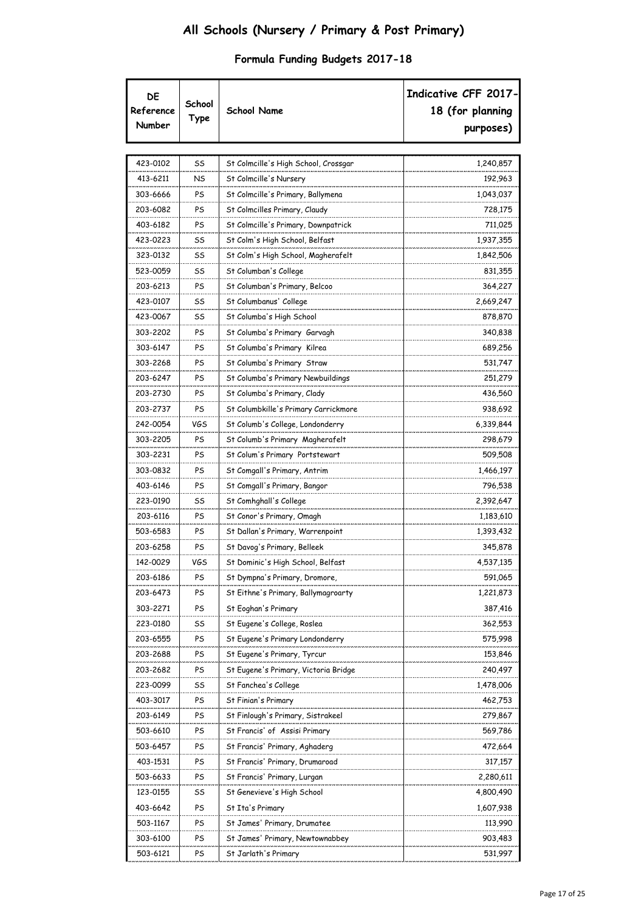| DE<br>Reference<br>Number | School<br>Type | <b>School Name</b>                   | Indicative CFF 2017-<br>18 (for planning<br>purposes) |
|---------------------------|----------------|--------------------------------------|-------------------------------------------------------|
| 423-0102                  | SS             | St Colmcille's High School, Crossgar | 1,240,857                                             |
| 413-6211                  | NS             | St Colmcille's Nursery               | 192,963                                               |
| 303-6666                  | PS             | St Colmcille's Primary, Ballymena    | 1,043,037                                             |
| 203-6082                  | PS             | St Colmcilles Primary, Claudy        | 728,175                                               |
| 403-6182                  | PS             | St Colmcille's Primary, Downpatrick  | 711,025                                               |
| 423-0223                  | SS             | St Colm's High School, Belfast       | 1,937,355                                             |
| 323-0132                  | SS             | St Colm's High School, Magherafelt   | 1,842,506                                             |
| 523-0059                  | SS             | St Columban's College                | 831,355                                               |
| 203-6213                  | PS             | St Columban's Primary, Belcoo        | 364,227                                               |
| 423-0107                  | SS             | St Columbanus' College               | 2,669,247                                             |
| 423-0067                  | SS             | St Columba's High School             | 878,870                                               |
| 303-2202                  | PS             | St Columba's Primary Garvagh         | 340,838                                               |
| 303-6147                  | PS             | St Columba's Primary Kilrea          | 689,256                                               |
| 303-2268                  | PS             | St Columba's Primary Straw           | 531,747                                               |
| 203-6247                  | PS             | St Columba's Primary Newbuildings    | 251,279                                               |
| 203-2730                  | PS             | St Columba's Primary, Clady          | 436,560                                               |
| 203-2737                  | PS             |                                      | 938,692                                               |
| 242-0054                  |                | St Columbkille's Primary Carrickmore |                                                       |
| 303-2205                  | VGS<br>PS      | St Columb's College, Londonderry     | 6,339,844<br>298,679                                  |
|                           |                | St Columb's Primary Magherafelt      |                                                       |
| 303-2231                  | PS             | St Colum's Primary Portstewart       | 509,508                                               |
| 303-0832                  | PS             | St Comgall's Primary, Antrim         | 1,466,197                                             |
| 403-6146                  | PS             | St Comgall's Primary, Bangor         | 796,538                                               |
| 223-0190                  | SS             | St Comhghall's College               | 2,392,647                                             |
| 203-6116                  | PS             | St Conor's Primary, Omagh            | 1,183,610                                             |
| 503-6583                  | PS             | St Dallan's Primary, Warrenpoint     | 1,393,432                                             |
| 203-6258                  | PS             | St Davog's Primary, Belleek          | 345,878                                               |
| 142-0029                  | VGS            | St Dominic's High School, Belfast    | 4,537,135                                             |
| 203-6186                  | PS             | St Dympna's Primary, Dromore,        | 591,065                                               |
| 203-6473                  | PS             | St Eithne's Primary, Ballymagroarty  | 1,221,873                                             |
| 303-2271                  | PS             | St Eoghan's Primary                  | 387,416                                               |
| 223-0180                  | SS             | St Eugene's College, Roslea          | 362,553                                               |
| 203-6555                  | PS             | St Eugene's Primary Londonderry      | 575,998                                               |
| 203-2688                  | PS             | St Eugene's Primary, Tyrcur          | 153,846                                               |
| 203-2682                  | PS             | St Eugene's Primary, Victoria Bridge | 240,497                                               |
| 223-0099                  | SS             | St Fanchea's College                 | 1,478,006                                             |
| 403-3017                  | PS             | St Finian's Primary                  | 462,753                                               |
| 203-6149                  | PS             | St Finlough's Primary, Sistrakeel    | 279,867                                               |
| 503-6610                  | PS             | St Francis' of Assisi Primary        | 569,786                                               |
| 503-6457                  | PS             | St Francis' Primary, Aghaderg        | 472,664                                               |
| 403-1531                  | PS             | St Francis' Primary, Drumaroad       | 317,157                                               |
| 503-6633                  | PS             | St Francis' Primary, Lurgan          | 2,280,611                                             |
| 123-0155                  | SS             | St Genevieve's High School           | 4,800,490                                             |
| 403-6642                  | PS             | St Ita's Primary                     | 1,607,938                                             |
| 503-1167                  | PS             | St James' Primary, Drumatee          | 113,990                                               |
| 303-6100                  | PS             | St James' Primary, Newtownabbey      | 903,483                                               |
| 503-6121                  | PS             | St Jarlath's Primary                 | 531,997                                               |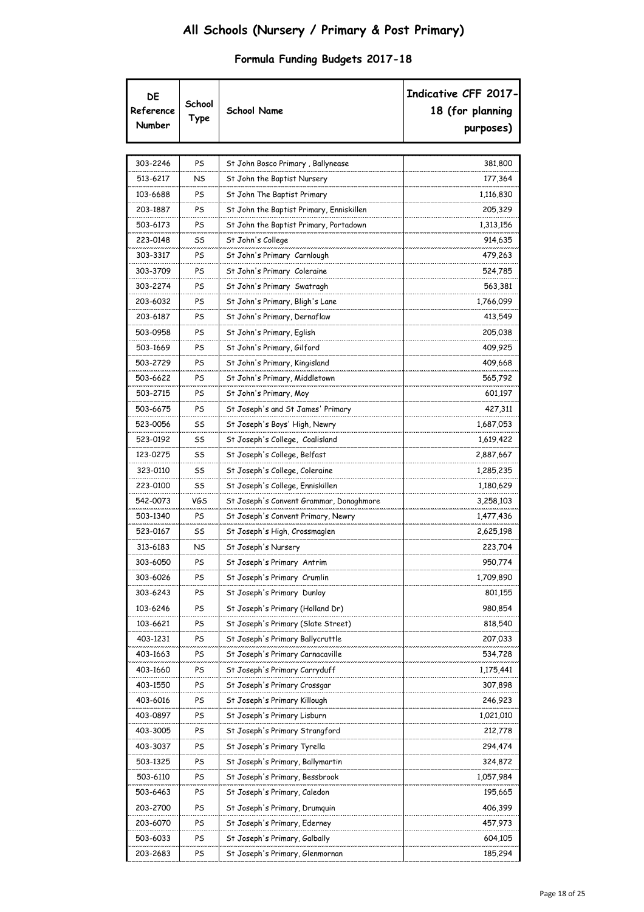| DE<br>Reference<br>Number | School<br>Type | <b>School Name</b>                       | Indicative CFF 2017-<br>18 (for planning<br>purposes) |
|---------------------------|----------------|------------------------------------------|-------------------------------------------------------|
| 303-2246                  | PS             | St John Bosco Primary, Ballynease        | 381,800                                               |
| 513-6217                  | NS             | St John the Baptist Nursery              | 177,364                                               |
| 103-6688                  | PS             | St John The Baptist Primary              | 1,116,830                                             |
| 203-1887                  | PS             | St John the Baptist Primary, Enniskillen | 205,329                                               |
| 503-6173                  | PS             | St John the Baptist Primary, Portadown   | 1,313,156                                             |
| 223-0148                  | SS             | St John's College                        | 914,635                                               |
| 303-3317                  | PS             | St John's Primary Carnlough              | 479,263                                               |
| 303-3709                  | PS             | St John's Primary Coleraine              | 524,785                                               |
| 303-2274                  | PS             | St John's Primary Swatragh               | 563,381                                               |
| 203-6032                  | PS             | St John's Primary, Bligh's Lane          | 1,766,099                                             |
| 203-6187                  | PS             | St John's Primary, Dernaflaw             | 413,549                                               |
| 503-0958                  | PS             | St John's Primary, Eglish                | 205,038                                               |
| 503-1669                  | PS             | St John's Primary, Gilford               | 409,925                                               |
| 503-2729                  | PS             | St John's Primary, Kingisland            | 409,668                                               |
| 503-6622                  | PS             | St John's Primary, Middletown            | 565,792                                               |
| 503-2715                  | PS             | St John's Primary, Moy                   | 601,197                                               |
| 503-6675                  | PS             | St Joseph's and St James' Primary        | 427,311                                               |
| 523-0056                  | SS             | St Joseph's Boys' High, Newry            | 1,687,053                                             |
| 523-0192                  | SS             | St Joseph's College, Coalisland          | 1,619,422                                             |
| 123-0275                  | SS             | St Joseph's College, Belfast             | 2,887,667                                             |
| 323-0110                  | SS             | St Joseph's College, Coleraine           | 1,285,235                                             |
| 223-0100                  | SS             | St Joseph's College, Enniskillen         | 1,180,629                                             |
| 542-0073                  | VGS            | St Joseph's Convent Grammar, Donaghmore  | 3,258,103                                             |
| 503-1340                  | PS             | St Joseph's Convent Primary, Newry       | 1,477,436                                             |
| 523-0167                  | SS             | St Joseph's High, Crossmaglen            | 2,625,198                                             |
| 313-6183                  | NS             | St Joseph's Nursery                      | 223,704                                               |
| 303-6050                  | PS             | St Joseph's Primary Antrim               | 950,774                                               |
| 303-6026                  | PS             | St Joseph's Primary Crumlin              | 1,709,890                                             |
| 303-6243                  | PS             | St Joseph's Primary Dunloy               | 801,155                                               |
| 103-6246                  | PS             | St Joseph's Primary (Holland Dr)         | 980,854                                               |
| 103-6621                  | PS             | St Joseph's Primary (Slate Street)       | 818,540                                               |
| 403-1231                  | PS             | St Joseph's Primary Ballycruttle         | 207,033                                               |
| 403-1663                  | PS             | St Joseph's Primary Carnacaville         | 534,728                                               |
| 403-1660                  | PS             | St Joseph's Primary Carryduff            | 1,175,441                                             |
| 403-1550                  | PS             | St Joseph's Primary Crossgar             | 307,898                                               |
| 403-6016                  | PS             | St Joseph's Primary Killough             | 246,923                                               |
| 403-0897                  | PS             | St Joseph's Primary Lisburn              | 1,021,010                                             |
| 403-3005                  | PS             | St Joseph's Primary Strangford           | 212,778                                               |
| 403-3037                  | PS             | St Joseph's Primary Tyrella              | 294,474                                               |
| 503-1325                  | PS             | St Joseph's Primary, Ballymartin         | 324,872                                               |
| 503-6110                  | PS             | St Joseph's Primary, Bessbrook           | 1,057,984                                             |
| 503-6463                  | PS             | St Joseph's Primary, Caledon             | 195,665                                               |
| 203-2700                  | PS             | St Joseph's Primary, Drumquin            | 406,399                                               |
| 203-6070                  | PS             | St Joseph's Primary, Ederney             | 457,973                                               |
| 503-6033                  | PS             | St Joseph's Primary, Galbally            | 604,105                                               |
| 203-2683                  | PS             | St Joseph's Primary, Glenmornan          | 185,294                                               |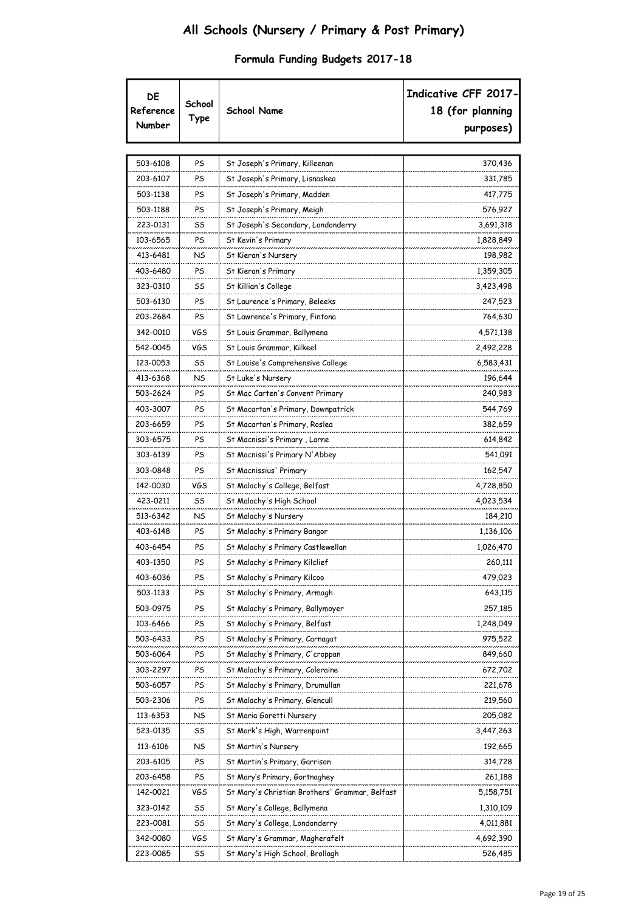|  |  |  | Formula Funding Budgets 2017-18 |
|--|--|--|---------------------------------|
|--|--|--|---------------------------------|

| DE<br>Reference<br>Number | School<br>Type | <b>School Name</b>                             | Indicative CFF 2017-<br>18 (for planning<br>purposes) |
|---------------------------|----------------|------------------------------------------------|-------------------------------------------------------|
|                           |                |                                                |                                                       |
| 503-6108                  | PS             | St Joseph's Primary, Killeenan                 | 370,436                                               |
| 203-6107                  | PS             | St Joseph's Primary, Lisnaskea                 | 331,785                                               |
| 503-1138                  | PS             | St Joseph's Primary, Madden                    | 417,775                                               |
| 503-1188                  | PS             | St Joseph's Primary, Meigh                     | 576,927                                               |
| 223-0131                  | SS             | St Joseph's Secondary, Londonderry             | 3,691,318                                             |
| 103-6565                  | PS             | St Kevin's Primary                             | 1,828,849                                             |
| 413-6481                  | NS             | St Kieran's Nursery                            | 198,982                                               |
| 403-6480                  | PS             | St Kieran's Primary                            | 1,359,305                                             |
| 323-0310                  | SS             | St Killian's College                           | 3,423,498                                             |
| 503-6130                  | PS             | St Laurence's Primary, Beleeks                 | 247,523                                               |
| 203-2684                  | PS             | St Lawrence's Primary, Fintona                 | 764,630                                               |
| 342-0010                  | VGS            | St Louis Grammar, Ballymena                    | 4,571,138                                             |
| 542-0045                  | <b>VGS</b>     | St Louis Grammar, Kilkeel                      | 2,492,228                                             |
| 123-0053                  | SS             | St Louise's Comprehensive College              | 6,583,431                                             |
| 413-6368                  | NS.            | St Luke's Nursery                              | 196,644                                               |
| 503-2624                  | PS             | St Mac Carten's Convent Primary                | 240,983                                               |
| 403-3007                  | PS             | St Macartan's Primary, Downpatrick             | 544,769                                               |
| 203-6659                  | PS             | St Macartan's Primary, Roslea                  | 382,659                                               |
| 303-6575                  | PS             | St Macnissi's Primary , Larne                  | 614,842                                               |
| 303-6139                  | PS             | St Macnissi's Primary N'Abbey                  | 541,091                                               |
| 303-0848                  | PS             | St Macnissius' Primary                         | 162,547                                               |
| 142-0030                  | <b>VGS</b>     | St Malachy's College, Belfast                  | 4,728,850                                             |
| 423-0211                  | SS             | St Malachy's High School                       | 4,023,534                                             |
| 513-6342                  | NS             | St Malachy's Nursery                           | 184,210                                               |
| 403-6148                  | PS             | St Malachy's Primary Bangor                    | 1,136,106                                             |
| 403-6454                  | PS             | St Malachy's Primary Castlewellan              | 1,026,470                                             |
| 403-1350                  | PS             | St Malachy's Primary Kilclief                  | 260,111                                               |
| 403-6036                  | PS             | St Malachy's Primary Kilcoo                    | 479,023                                               |
| 503-1133                  | PS             | St Malachy's Primary, Armagh                   | 643,115                                               |
| 503-0975                  | PS             | St Malachy's Primary, Ballymoyer               | 257,185                                               |
| 103-6466                  | PS             | St Malachy's Primary, Belfast                  | 1,248,049                                             |
| 503-6433                  | PS             | St Malachy's Primary, Carnagat                 | 975,522                                               |
| 503-6064                  | PS             | St Malachy's Primary, C'croppan                | 849,660                                               |
| 303-2297                  | PS             | St Malachy's Primary, Coleraine                | 672,702                                               |
| 503-6057                  | PS             | St Malachy's Primary, Drumullan                | 221,678                                               |
| 503-2306                  | PS             | St Malachy's Primary, Glencull                 | 219,560                                               |
| 113-6353                  | NS             | St Maria Goretti Nursery                       | 205,082                                               |
| 523-0135                  | SS             | St Mark's High, Warrenpoint                    | 3,447,263                                             |
| 113-6106                  | NS             | St Martin's Nursery                            | 192,665                                               |
| 203-6105                  | PS             | St Martin's Primary, Garrison                  | 314,728                                               |
| 203-6458                  | PS             | St Mary's Primary, Gortnaghey                  | 261,188                                               |
| 142-0021                  | VGS            | St Mary's Christian Brothers' Grammar, Belfast | 5,158,751                                             |
| 323-0142                  | SS             | St Mary's College, Ballymena                   | 1,310,109                                             |
| 223-0081                  | SS             | St Mary's College, Londonderry                 | 4,011,881                                             |
| 342-0080                  | VGS            | St Mary's Grammar, Magherafelt                 | 4,692,390                                             |
| 223-0085                  | SS             | St Mary's High School, Brollagh                | 526,485                                               |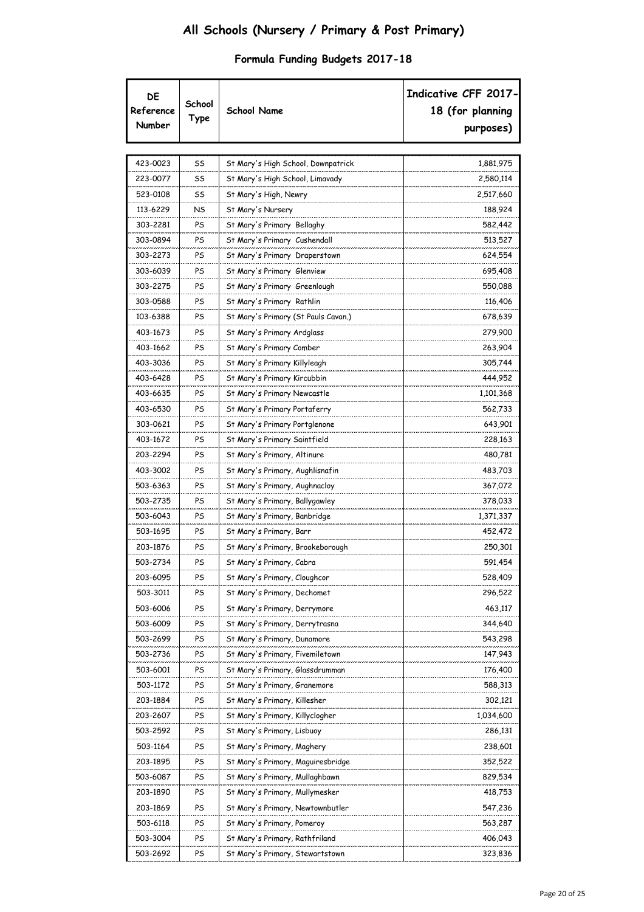| DE<br>Reference<br>Number | School<br>Type | <b>School Name</b>                  | Indicative CFF 2017-<br>18 (for planning<br>purposes) |
|---------------------------|----------------|-------------------------------------|-------------------------------------------------------|
| 423-0023                  | SS             | St Mary's High School, Downpatrick  | 1,881,975                                             |
| 223-0077                  | SS             | St Mary's High School, Limavady     | 2,580,114                                             |
| 523-0108                  | SS             | St Mary's High, Newry               | 2,517,660                                             |
| 113-6229                  | NS             | St Mary's Nursery                   | 188,924                                               |
| 303-2281                  | PS             | St Mary's Primary Bellaghy          | 582,442                                               |
| 303-0894                  | PS             | St Mary's Primary Cushendall        | 513,527                                               |
| 303-2273                  | PS             | St Mary's Primary Draperstown       | 624,554                                               |
| 303-6039                  | PS             | St Mary's Primary Glenview          | 695,408                                               |
| 303-2275                  | PS             | St Mary's Primary Greenlough        | 550,088                                               |
| 303-0588                  | PS             | St Mary's Primary Rathlin           | 116,406                                               |
| 103-6388                  | PS             | St Mary's Primary (St Pauls Cavan.) | 678,639                                               |
| 403-1673                  | PS             | St Mary's Primary Ardglass          | 279,900                                               |
| 403-1662                  | PS             | St Mary's Primary Comber            | 263,904                                               |
| 403-3036                  | PS             | St Mary's Primary Killyleagh        | 305,744                                               |
| 403-6428                  | PS             | St Mary's Primary Kircubbin         | 444,952                                               |
| 403-6635                  | PS             | St Mary's Primary Newcastle         | 1,101,368                                             |
| 403-6530                  | PS             | St Mary's Primary Portaferry        | 562,733                                               |
| 303-0621                  | PS             | St Mary's Primary Portglenone       | 643,901                                               |
| 403-1672                  | PS             | St Mary's Primary Saintfield        | 228,163                                               |
| 203-2294                  | PS             | St Mary's Primary, Altinure         | 480,781                                               |
| 403-3002                  | PS             | St Mary's Primary, Aughlisnafin     | 483,703                                               |
| 503-6363                  | PS             | St Mary's Primary, Aughnacloy       | 367,072                                               |
| 503-2735                  | PS             | St Mary's Primary, Ballygawley      | 378,033                                               |
| 503-6043                  | PS             | St Mary's Primary, Banbridge        | 1,371,337                                             |
| 503-1695                  | PS             | St Mary's Primary, Barr             | 452,472                                               |
| 203-1876                  | PS             | St Mary's Primary, Brookeborough    | 250,301                                               |
| 503-2734                  | PS             | St Mary's Primary, Cabra            | 591,454                                               |
| 203-6095                  | PS             | St Mary's Primary, Cloughcor        | 528,409                                               |
| 503-3011                  | PS             | St Mary's Primary, Dechomet         | 296,522                                               |
| 503-6006                  | PS             | St Mary's Primary, Derrymore        | 463,117                                               |
| 503-6009                  | PS             | St Mary's Primary, Derrytrasna      | 344,640                                               |
| 503-2699                  | PS             | St Mary's Primary, Dunamore         | 543,298                                               |
| 503-2736                  | PS             | St Mary's Primary, Fivemiletown     | 147,943                                               |
| 503-6001                  | PS             | St Mary's Primary, Glassdrumman     | 176,400                                               |
| 503-1172                  | PS             | St Mary's Primary, Granemore        | 588,313                                               |
| 203-1884                  | PS             | St Mary's Primary, Killesher        | 302,121                                               |
| 203-2607                  | PS             | St Mary's Primary, Killyclogher     | 1,034,600                                             |
| 503-2592                  | PS             | St Mary's Primary, Lisbuoy          | 286,131                                               |
| 503-1164                  | PS             | St Mary's Primary, Maghery          | 238,601                                               |
| 203-1895                  | PS             | St Mary's Primary, Maguiresbridge   | 352,522                                               |
| 503-6087                  | PS             | St Mary's Primary, Mullaghbawn      | 829,534                                               |
| 203-1890                  | PS             | St Mary's Primary, Mullymesker      | 418,753                                               |
| 203-1869                  | PS             | St Mary's Primary, Newtownbutler    | 547,236                                               |
| 503-6118                  | PS             | St Mary's Primary, Pomeroy          | 563,287                                               |
| 503-3004                  | PS             | St Mary's Primary, Rathfriland      | 406,043                                               |
| 503-2692                  | PS             | St Mary's Primary, Stewartstown     | 323,836                                               |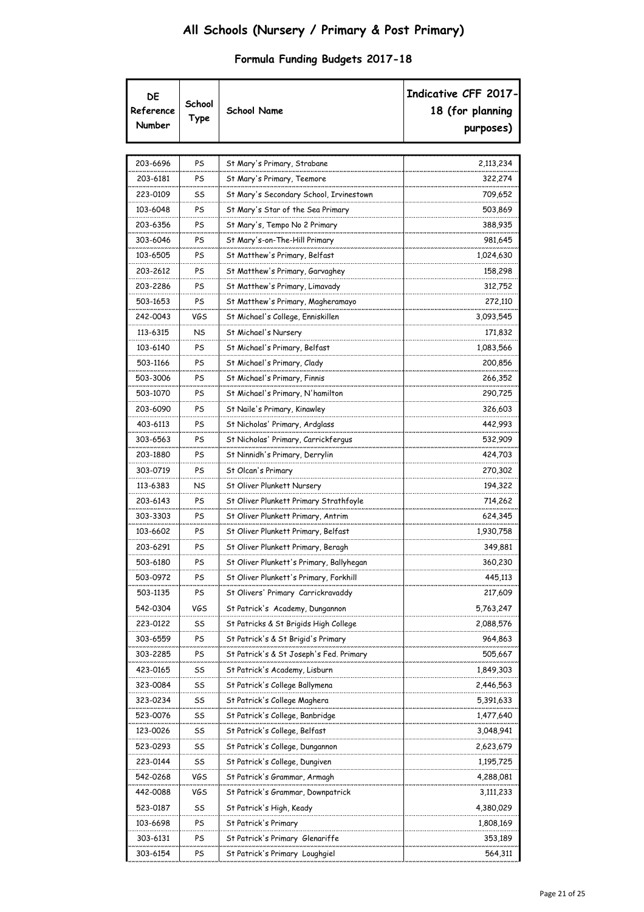| DE<br>Reference<br>Number | School<br>Type | <b>School Name</b>                       | Indicative CFF 2017-<br>18 (for planning<br>purposes) |
|---------------------------|----------------|------------------------------------------|-------------------------------------------------------|
| 203-6696                  | PS             | St Mary's Primary, Strabane              | 2,113,234                                             |
| 203-6181                  | PS             | St Mary's Primary, Teemore               | 322,274                                               |
| 223-0109                  | SS             | St Mary's Secondary School, Irvinestown  | 709,652                                               |
| 103-6048                  | PS             | St Mary's Star of the Sea Primary        | 503,869                                               |
| 203-6356                  | PS             | St Mary's, Tempo No 2 Primary            | 388,935                                               |
| 303-6046                  | PS             | St Mary's-on-The-Hill Primary            | 981,645                                               |
| 103-6505                  | PS             | St Matthew's Primary, Belfast            | 1,024,630                                             |
| 203-2612                  | PS             | St Matthew's Primary, Garvaghey          | 158,298                                               |
| 203-2286                  | PS             | St Matthew's Primary, Limavady           | 312,752                                               |
| 503-1653                  | PS             | St Matthew's Primary, Magheramayo        | 272,110                                               |
| 242-0043                  | VGS            | St Michael's College, Enniskillen        | 3,093,545                                             |
| 113-6315                  | NS             | St Michael's Nursery                     | 171,832                                               |
| 103-6140                  | PS             | St Michael's Primary, Belfast            | 1,083,566                                             |
| 503-1166                  | PS             | St Michael's Primary, Clady              | 200,856                                               |
| 503-3006                  | PS             | St Michael's Primary, Finnis             | 266,352                                               |
| 503-1070                  | PS             | St Michael's Primary, N'hamilton         | 290,725                                               |
| 203-6090                  | PS             | St Naile's Primary, Kinawley             | 326,603                                               |
| 403-6113                  | PS             | St Nicholas' Primary, Ardglass           | 442,993                                               |
| 303-6563                  | PS             | St Nicholas' Primary, Carrickfergus      | 532,909                                               |
| 203-1880                  | PS             | St Ninnidh's Primary, Derrylin           | 424,703                                               |
| 303-0719                  | PS             | St Olcan's Primary                       | 270,302                                               |
| 113-6383                  | NS             | St Oliver Plunkett Nursery               | 194,322                                               |
| 203-6143                  | PS             | St Oliver Plunkett Primary Strathfoyle   | 714,262                                               |
| 303-3303                  | PS             | St Oliver Plunkett Primary, Antrim       | 624,345                                               |
| 103-6602                  | PS             | St Oliver Plunkett Primary, Belfast      | 1,930,758                                             |
| 203-6291                  | PS             | St Oliver Plunkett Primary, Beragh       | 349,881                                               |
| 503-6180                  | PS             | St Oliver Plunkett's Primary, Ballyhegan | 360,230                                               |
| 503-0972                  | PS             | St Oliver Plunkett's Primary, Forkhill   | 445,113                                               |
| 503-1135                  | PS             | St Olivers' Primary Carrickravaddy       | 217,609                                               |
| 542-0304                  | VGS            | St Patrick's Academy, Dungannon          | 5,763,247                                             |
| 223-0122                  | SS             | St Patricks & St Brigids High College    | 2,088,576                                             |
| 303-6559                  | PS             | St Patrick's & St Brigid's Primary       | 964,863                                               |
| 303-2285                  | PS             | St Patrick's & St Joseph's Fed. Primary  | 505,667                                               |
| 423-0165                  | SS             | St Patrick's Academy, Lisburn            | 1,849,303                                             |
| 323-0084                  | SS             | St Patrick's College Ballymena           | 2,446,563                                             |
| 323-0234                  | SS             | St Patrick's College Maghera             | 5,391,633                                             |
| 523-0076                  | SS             | St Patrick's College, Banbridge          | 1,477,640                                             |
| 123-0026                  | SS             | St Patrick's College, Belfast            | 3,048,941                                             |
| 523-0293                  | SS             | St Patrick's College, Dungannon          | 2,623,679                                             |
| 223-0144                  | SS             | St Patrick's College, Dungiven           | 1,195,725                                             |
| 542-0268                  | VGS            | St Patrick's Grammar, Armagh             | 4,288,081                                             |
| 442-0088                  | VGS            | St Patrick's Grammar, Downpatrick        | 3,111,233                                             |
| 523-0187                  | SS             | St Patrick's High, Keady                 | 4,380,029                                             |
| 103-6698                  | PS             | St Patrick's Primary                     | 1,808,169                                             |
| 303-6131                  | PS             | St Patrick's Primary Glenariffe          | 353,189                                               |
| 303-6154                  | PS             | St Patrick's Primary Loughgiel           | 564,311                                               |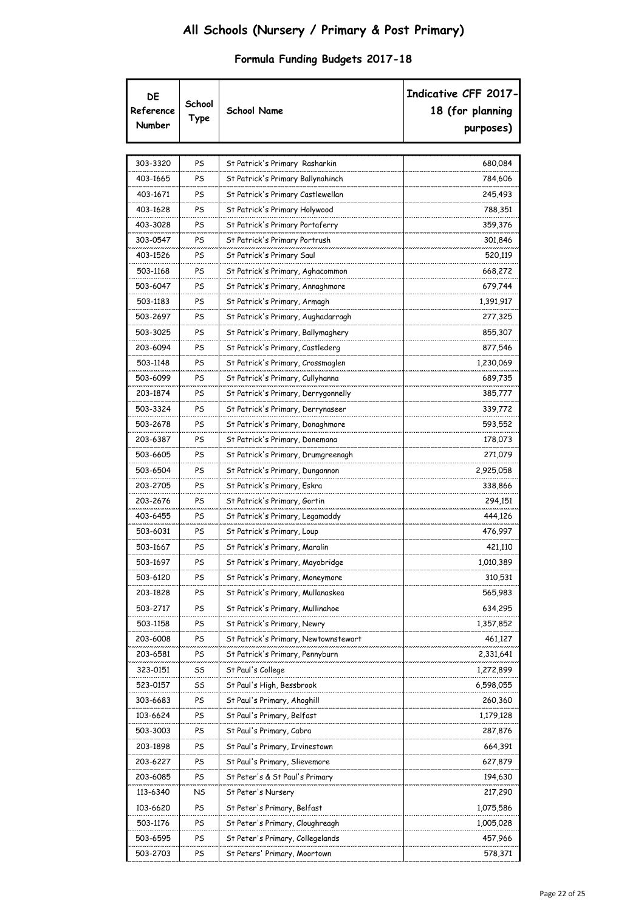| DE<br>Reference<br>Number | School<br>Type | <b>School Name</b>                   | Indicative CFF 2017-<br>18 (for planning<br>purposes) |
|---------------------------|----------------|--------------------------------------|-------------------------------------------------------|
| 303-3320                  | PS             | St Patrick's Primary Rasharkin       | 680,084                                               |
| 403-1665                  | PS             | St Patrick's Primary Ballynahinch    | 784,606                                               |
| 403-1671                  | PS             | St Patrick's Primary Castlewellan    | 245,493                                               |
| 403-1628                  | PS             | St Patrick's Primary Holywood        | 788,351                                               |
| 403-3028                  | PS             | St Patrick's Primary Portaferry      | 359,376                                               |
| 303-0547                  | PS             | St Patrick's Primary Portrush        | 301,846                                               |
| 403-1526                  | PS             | St Patrick's Primary Saul            | 520,119                                               |
| 503-1168                  | PS             | St Patrick's Primary, Aghacommon     | 668,272                                               |
| 503-6047                  | PS             | St Patrick's Primary, Annaghmore     | 679,744                                               |
| 503-1183                  | PS             | St Patrick's Primary, Armagh         | 1,391,917                                             |
| 503-2697                  | PS             | St Patrick's Primary, Aughadarragh   | 277,325                                               |
| 503-3025                  | PS             | St Patrick's Primary, Ballymaghery   | 855,307                                               |
| 203-6094                  | PS             | St Patrick's Primary, Castlederg     | 877,546                                               |
| 503-1148                  | PS             | St Patrick's Primary, Crossmaglen    | 1,230,069                                             |
| 503-6099                  | PS             | St Patrick's Primary, Cullyhanna     | 689,735                                               |
| 203-1874                  | PS             | St Patrick's Primary, Derrygonnelly  | 385,777                                               |
| 503-3324                  | PS             | St Patrick's Primary, Derrynaseer    | 339,772                                               |
| 503-2678                  | PS             | St Patrick's Primary, Donaghmore     | 593,552                                               |
| 203-6387                  | PS             | St Patrick's Primary, Donemana       | 178,073                                               |
| 503-6605                  | PS             | St Patrick's Primary, Drumgreenagh   | 271,079                                               |
| 503-6504                  | PS             | St Patrick's Primary, Dungannon      | 2,925,058                                             |
| 203-2705                  | PS             | St Patrick's Primary, Eskra          | 338,866                                               |
| 203-2676                  | PS             | St Patrick's Primary, Gortin         | 294,151                                               |
| 403-6455                  | PS             | St Patrick's Primary, Legamaddy      | 444,126                                               |
| 503-6031                  | PS             | St Patrick's Primary, Loup           | 476,997                                               |
| 503-1667                  | PS             | St Patrick's Primary, Maralin        | 421,110                                               |
| 503-1697                  | PS             | St Patrick's Primary, Mayobridge     | 1,010,389                                             |
| 503-6120                  | PS             | St Patrick's Primary, Moneymore      | 310,531                                               |
| 203-1828                  | PS             | St Patrick's Primary, Mullanaskea    | 565,983                                               |
| 503-2717                  | PS             | St Patrick's Primary, Mullinahoe     | 634,295                                               |
| 503-1158                  | PS             | St Patrick's Primary, Newry          | 1,357,852                                             |
| 203-6008                  | PS             | St Patrick's Primary, Newtownstewart | 461,127                                               |
| 203-6581                  | PS             | St Patrick's Primary, Pennyburn      | 2,331,641                                             |
| 323-0151                  | SS             | St Paul's College                    | 1,272,899                                             |
| 523-0157                  | SS             | St Paul's High, Bessbrook            | 6,598,055                                             |
| 303-6683                  | PS             | St Paul's Primary, Ahoghill          | 260,360                                               |
| 103-6624                  | PS             | St Paul's Primary, Belfast           | 1,179,128                                             |
| 503-3003                  | PS             | St Paul's Primary, Cabra             | 287,876                                               |
| 203-1898                  | PS             | St Paul's Primary, Irvinestown       | 664,391                                               |
| 203-6227                  | PS             | St Paul's Primary, Slievemore        | 627,879                                               |
| 203-6085                  | PS             | St Peter's & St Paul's Primary       | 194,630                                               |
| 113-6340                  | NS             | St Peter's Nursery                   | 217,290                                               |
| 103-6620                  | PS             | St Peter's Primary, Belfast          | 1,075,586                                             |
| 503-1176                  | PS             | St Peter's Primary, Cloughreagh      | 1,005,028                                             |
| 503-6595                  | PS             | St Peter's Primary, Collegelands     | 457,966                                               |
| 503-2703                  | PS             | St Peters' Primary, Moortown         | 578,371                                               |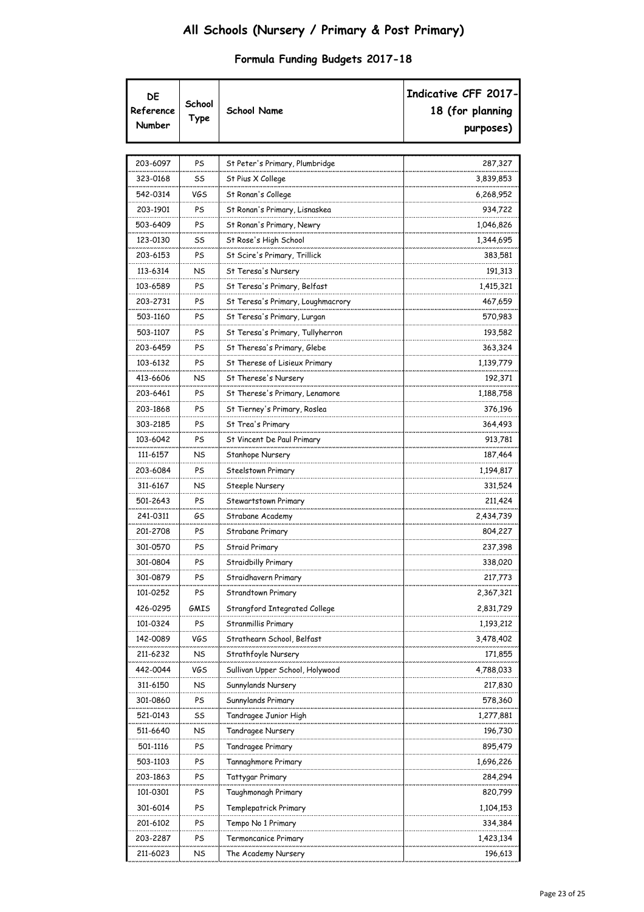|  |  |  | Formula Funding Budgets 2017-18 |
|--|--|--|---------------------------------|
|--|--|--|---------------------------------|

| DE<br>Reference<br>Number | School<br>Type | <b>School Name</b>                | Indicative CFF 2017-<br>18 (for planning<br>purposes) |
|---------------------------|----------------|-----------------------------------|-------------------------------------------------------|
|                           |                |                                   |                                                       |
| 203-6097                  | PS             | St Peter's Primary, Plumbridge    | 287,327                                               |
| 323-0168                  | SS             | St Pius X College                 | 3,839,853                                             |
| 542-0314                  | <b>VGS</b>     | St Ronan's College                | 6,268,952                                             |
| 203-1901                  | PS             | St Ronan's Primary, Lisnaskea     | 934,722                                               |
| 503-6409                  | PS             | St Ronan's Primary, Newry         | 1,046,826                                             |
| 123-0130                  | SS             | St Rose's High School             | 1,344,695                                             |
| 203-6153                  | PS             | St Scire's Primary, Trillick      | 383,581                                               |
| 113-6314                  | NS             | St Teresa's Nursery               | 191,313                                               |
| 103-6589                  | PS             | St Teresa's Primary, Belfast      | 1,415,321                                             |
| 203-2731                  | PS             | St Teresa's Primary, Loughmacrory | 467,659                                               |
| 503-1160                  | PS             | St Teresa's Primary, Lurgan       | 570,983                                               |
| 503-1107                  | PS             | St Teresa's Primary, Tullyherron  | 193,582                                               |
| 203-6459                  | PS             | St Theresa's Primary, Glebe       | 363,324                                               |
| 103-6132                  | PS             | St Therese of Lisieux Primary     | 1,139,779                                             |
| 413-6606                  | NS             | St Therese's Nursery              | 192,371                                               |
| 203-6461                  | PS             | St Therese's Primary, Lenamore    | 1,188,758                                             |
| 203-1868                  | PS             | St Tierney's Primary, Roslea      | 376,196                                               |
| 303-2185                  | PS             | St Trea's Primary                 | 364,493                                               |
| 103-6042                  | PS             | St Vincent De Paul Primary        | 913,781                                               |
| 111-6157                  | NS             | Stanhope Nursery                  | 187,464                                               |
| 203-6084                  | PS             | Steelstown Primary                | 1,194,817                                             |
| 311-6167                  | NS             | Steeple Nursery                   | 331,524                                               |
| 501-2643                  | PS             | Stewartstown Primary              | 211,424                                               |
| 241-0311                  | GS             | Strabane Academy                  | 2,434,739                                             |
| 201-2708                  | PS             | Strabane Primary                  | 804,227                                               |
| 301-0570                  | PS             | Straid Primary                    | 237,398                                               |
| 301-0804                  | PS             | Straidbilly Primary               | 338,020                                               |
| 301-0879                  | PS             | Straidhavern Primary              | 217,773                                               |
| 101-0252                  | PS             | Strandtown Primary                | 2,367,321                                             |
| 426-0295                  | GMIS           | Strangford Integrated College     | 2,831,729                                             |
| 101-0324                  | PS             | Stranmillis Primary               | 1,193,212                                             |
| 142-0089                  | VGS            | Strathearn School, Belfast        | 3,478,402                                             |
| 211-6232                  | NS.            | Strathfoyle Nursery               | 171,855                                               |
| 442-0044                  | VGS            | Sullivan Upper School, Holywood   | 4,788,033                                             |
| 311-6150                  | NS             | Sunnylands Nursery                | 217,830                                               |
| 301-0860                  | PS             | Sunnylands Primary                | 578,360                                               |
| 521-0143                  | SS             | Tandragee Junior High             | 1,277,881                                             |
| 511-6640                  | NS             | Tandragee Nursery                 | 196,730                                               |
| 501-1116                  | PS             | Tandragee Primary                 | 895,479                                               |
| 503-1103                  | PS             | Tannaghmore Primary               | 1,696,226                                             |
| 203-1863                  | PS             | Tattygar Primary                  | 284,294                                               |
| 101-0301                  | PS             | Taughmonagh Primary               | 820,799                                               |
| 301-6014                  | PS             | Templepatrick Primary             | 1,104,153                                             |
| 201-6102                  | PS             | Tempo No 1 Primary                | 334,384                                               |
| 203-2287                  | PS             | Termoncanice Primary              | 1,423,134                                             |
| 211-6023                  | NS             | The Academy Nursery               | 196,613                                               |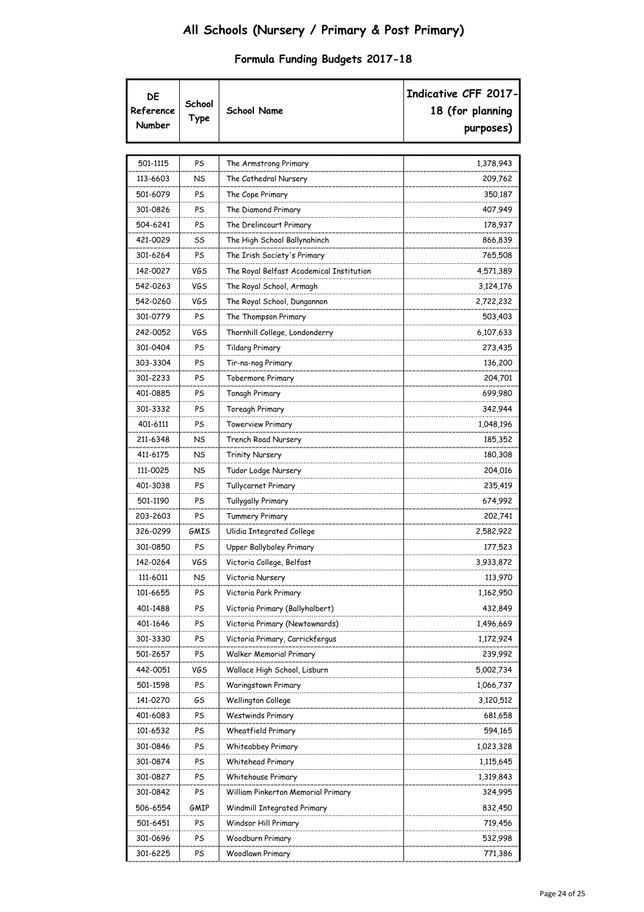| DE<br>Reference<br>Number | School<br>Type | <b>School Name</b>                       | Indicative CFF 2017-<br>18 (for planning<br>purposes) |
|---------------------------|----------------|------------------------------------------|-------------------------------------------------------|
|                           |                |                                          |                                                       |
| 501-1115                  | PS             | The Armstrong Primary                    | 1,378,943                                             |
| 113-6603                  | NS             | The Cathedral Nursery                    | 209,762                                               |
| 501-6079                  | PS             | The Cope Primary                         | 350,187                                               |
| 301-0826                  | PS             | The Diamond Primary                      | 407,949                                               |
| 504-6241                  | PS             | The Drelincourt Primary                  | 178,937                                               |
| 421-0029                  | SS             | The High School Ballynahinch             | 866,839                                               |
| 301-6264                  | PS             | The Irish Society's Primary              | 765,508                                               |
| 142-0027                  | <b>VGS</b>     | The Royal Belfast Academical Institution | 4,571,389                                             |
| 542-0263                  | VGS            | The Royal School, Armagh                 | 3,124,176                                             |
| 542-0260                  | VGS            | The Royal School, Dungannon              | 2,722,232                                             |
| 301-0779                  | PS             | The Thompson Primary                     | 503,403                                               |
| 242-0052                  | VGS            | Thornhill College, Londonderry           | 6,107,633                                             |
| 301-0404                  | PS             | <b>Tildarg Primary</b>                   | 273,435                                               |
| 303-3304                  | PS             | Tir-na-nog Primary                       | 136,200                                               |
| 301-2233                  | PS             | Tobermore Primary                        | 204,701                                               |
| 401-0885                  | PS             | Tonagh Primary                           | 699,980                                               |
| 301-3332                  | PS             | Toreagh Primary                          | 342,944                                               |
| 401-6111                  | PS             | <b>Towerview Primary</b>                 | 1,048,196                                             |
| 211-6348                  | NS             | Trench Road Nursery                      | 185,352                                               |
| 411-6175                  | NS             | Trinity Nursery                          | 180,308                                               |
| 111-0025                  | NS             | Tudor Lodge Nursery                      | 204,016                                               |
| 401-3038                  | PS             | Tullycarnet Primary                      | 235,419                                               |
| 501-1190                  | PS             | Tullygally Primary                       | 674,992                                               |
| 203-2603                  | PS             | <b>Tummery Primary</b>                   | 202,741                                               |
| 326-0299                  | GMIS           | Ulidia Integrated College                | 2,582,922                                             |
| 301-0850                  | PS             | Upper Ballyboley Primary                 | 177,523                                               |
| 142-0264                  | VGS            | Victoria College, Belfast                | 3,933,872                                             |
| 111-6011                  | <b>NS</b>      | Victoria Nursery                         | 113,970                                               |
| 101-6655                  | PS             | Victoria Park Primary                    | 1,162,950                                             |
| 401-1488                  | PS             | Victoria Primary (Ballyhalbert)          | 432,849                                               |
| 401-1646                  | PS             | Victoria Primary (Newtownards)           | 1,496,669                                             |
| 301-3330                  | PS             | Victoria Primary, Carrickfergus          | 1,172,924                                             |
| 501-2657                  | PS             | <b>Walker Memorial Primary</b>           | 239,992                                               |
| 442-0051                  | VGS            | Wallace High School, Lisburn             | 5,002,734                                             |
| 501-1598                  | PS             | Waringstown Primary                      | 1,066,737                                             |
| 141-0270                  | GS             | Wellington College                       | 3,120,512                                             |
| 401-6083                  | PS             | <b>Westwinds Primary</b>                 | 681,658                                               |
| 101-6532                  | PS             | Wheatfield Primary                       | 594,165                                               |
| 301-0846                  | PS             | Whiteabbey Primary                       | 1,023,328                                             |
| 301-0874                  | PS             | Whitehead Primary                        | 1,115,645                                             |
| 301-0827                  | PS             | Whitehouse Primary                       | 1,319,843                                             |
| 301-0842                  | PS             | William Pinkerton Memorial Primary       | 324,995                                               |
| 506-6554                  | GMIP           | Windmill Integrated Primary              | 832,450                                               |
| 501-6451                  | PS             | Windsor Hill Primary                     | 719,456                                               |
| 301-0696                  | PS             | Woodburn Primary                         | 532,998                                               |
| 301-6225                  | PS             | <b>Woodlawn Primary</b>                  | 771,386                                               |